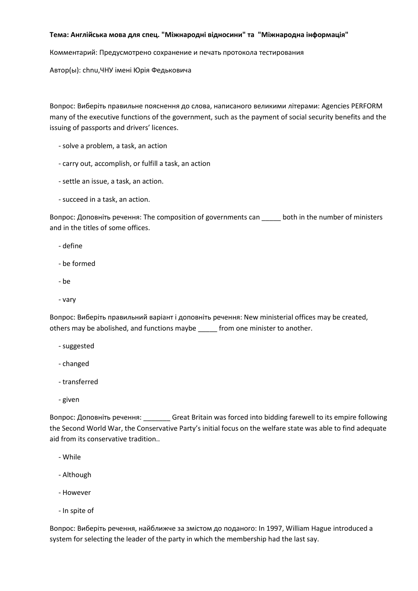## **Тема: Англійська мова для спец. "Міжнародні відносини" та "Міжнародна інформація"**

Комментарий: Предусмотрено сохранение и печать протокола тестирования

Автор(ы): chnu,ЧНУ імені Юрія Федьковича

Вопрос: Виберіть правильне пояснення до слова, написаного великими літерами: Agencies PERFORM many of the executive functions of the government, such as the payment of social security benefits and the issuing of passports and drivers' licences.

- solve a problem, a task, an action
- carry out, accomplish, or fulfill a task, an action
- settle an issue, a task, an action.
- succeed in a task, an action.

Вопрос: Доповніть речення: The composition of governments can \_\_\_\_\_ both in the number of ministers and in the titles of some offices.

- define
- be formed
- be
- vary

Вопрос: Виберіть правильний варіант і доповніть речення: New ministerial offices may be created, others may be abolished, and functions maybe from one minister to another.

- suggested
- changed
- transferred
- given

Вопрос: Доповніть речення: \_\_\_\_\_\_\_ Great Britain was forced into bidding farewell to its empire following the Second World War, the Conservative Party's initial focus on the welfare state was able to find adequate aid from its conservative tradition..

- While
- Although
- However
- In spite of

Вопрос: Виберіть речення, найближче за змістом до поданого: In 1997, William Hague introduced a system for selecting the leader of the party in which the membership had the last say.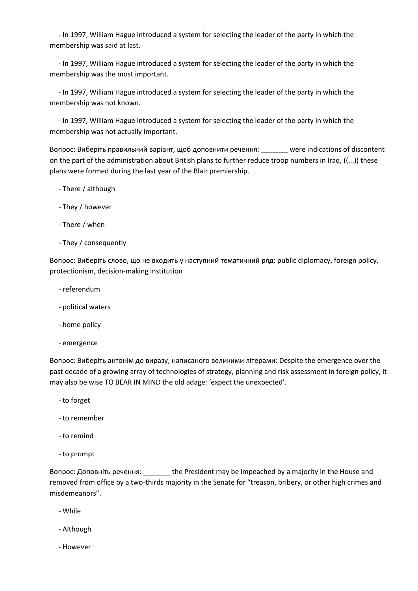- In 1997, William Hague introduced a system for selecting the leader of the party in which the membership was said at last.

 - In 1997, William Hague introduced a system for selecting the leader of the party in which the membership was the most important.

 - In 1997, William Hague introduced a system for selecting the leader of the party in which the membership was not known.

 - In 1997, William Hague introduced a system for selecting the leader of the party in which the membership was not actually important.

Вопрос: Виберіть правильний варіант, щоб доповнити речення: \_\_\_\_\_\_\_ were indications of discontent on the part of the administration about British plans to further reduce troop numbers in Iraq, ((...)) these plans were formed during the last year of the Blair premiership.

- There / although
- They / however
- There / when
- They / consequently

Вопрос: Виберіть слово, що не входить у наступний тематичний ряд: public diplomacy, foreign policy, protectionism, decision-making institution

- referendum
- political waters
- home policy
- emergence

Вопрос: Виберіть антонім до виразу, написаного великими літерами: Despite the emergence over the past decade of a growing array of technologies of strategy, planning and risk assessment in foreign policy, it may also be wise TO BEAR IN MIND the old adage: 'expect the unexpected'.

- to forget
- to remember
- to remind
- to prompt

Вопрос: Доповніть речення: \_\_\_\_\_\_\_ the President may be impeached by a majority in the House and removed from office by a two-thirds majority in the Senate for "treason, bribery, or other high crimes and misdemeanors".

- While
- Although
- However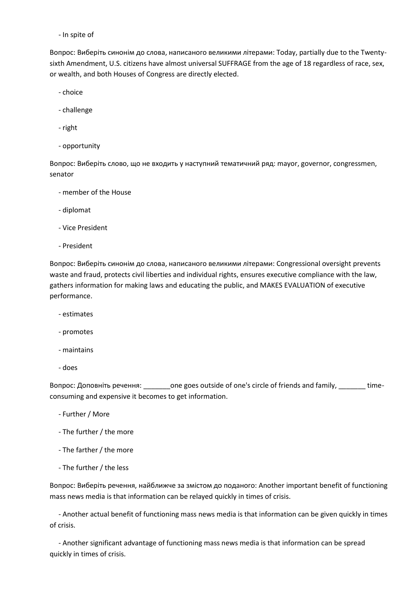- In spite of

Вопрос: Виберіть синонім до слова, написаного великими літерами: Today, partially due to the Twentysixth Amendment, U.S. citizens have almost universal SUFFRAGE from the age of 18 regardless of race, sex, or wealth, and both Houses of Congress are directly elected.

- choice

- challenge
- right
- opportunity

Вопрос: Виберіть слово, що не входить у наступний тематичний ряд: mayor, governor, congressmen, senator

- member of the House
- diplomat
- Vice President
- President

Вопрос: Виберіть синонім до слова, написаного великими літерами: Congressional oversight prevents waste and fraud, protects civil liberties and individual rights, ensures executive compliance with the law, gathers information for making laws and educating the public, and MAKES EVALUATION of executive performance.

- estimates
- promotes
- maintains
- does

Вопрос: Доповніть речення: \_\_\_\_\_\_\_one goes outside of one's circle of friends and family, \_\_\_\_\_\_\_ timeconsuming and expensive it becomes to get information.

- Further / More
- The further / the more
- The farther / the more
- The further / the less

Вопрос: Виберіть речення, найближче за змістом до поданого: Another important benefit of functioning mass news media is that information can be relayed quickly in times of crisis.

 - Another actual benefit of functioning mass news media is that information can be given quickly in times of crisis.

 - Another significant advantage of functioning mass news media is that information can be spread quickly in times of crisis.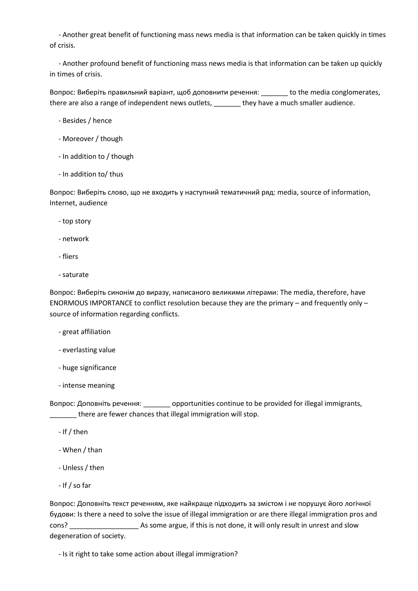- Another great benefit of functioning mass news media is that information can be taken quickly in times of crisis.

 - Another profound benefit of functioning mass news media is that information can be taken up quickly in times of crisis.

Вопрос: Виберіть правильний варіант, щоб доповнити речення: \_\_\_\_\_\_\_ to the media conglomerates, there are also a range of independent news outlets, \_\_\_\_\_\_\_ they have a much smaller audience.

- Besides / hence
- Moreover / though
- In addition to / though
- In addition to/ thus

Вопрос: Виберіть слово, що не входить у наступний тематичний ряд: media, source of information, Internet, audience

- top story
- network
- fliers
- saturate

Вопрос: Виберіть синонім до виразу, написаного великими літерами: The media, therefore, have ENORMOUS IMPORTANCE to conflict resolution because they are the primary – and frequently only – source of information regarding conflicts.

- great affiliation
- everlasting value
- huge significance
- intense meaning

Вопрос: Доповніть речення: \_\_\_\_\_\_\_ opportunities continue to be provided for illegal immigrants, \_\_\_\_\_\_ there are fewer chances that illegal immigration will stop.

- If / then
- When / than
- Unless / then
- If / so far

Вопрос: Доповніть текст реченням, яке найкраще підходить за змістом і не порушує його логічної будови: Is there a need to solve the issue of illegal immigration or are there illegal immigration pros and cons? \_\_\_\_\_\_\_\_\_\_\_\_\_\_\_\_\_\_ As some argue, if this is not done, it will only result in unrest and slow degeneration of society.

- Is it right to take some action about illegal immigration?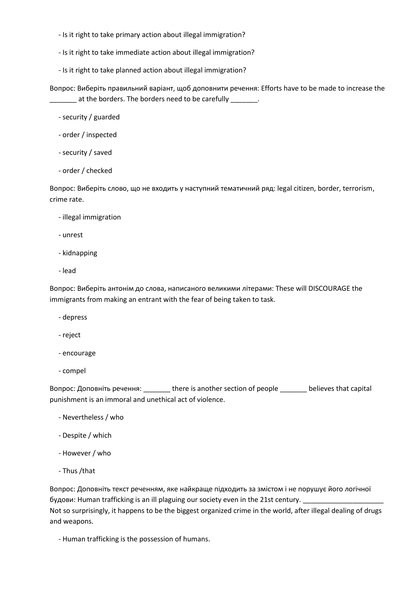- Is it right to take primary action about illegal immigration?
- Is it right to take immediate action about illegal immigration?
- Is it right to take planned action about illegal immigration?

Вопрос: Виберіть правильний варіант, щоб доповнити речення: Efforts have to be made to increase the at the borders. The borders need to be carefully \_\_\_\_\_\_\_.

- security / guarded
- order / inspected
- security / saved
- order / checked

Вопрос: Виберіть слово, що не входить у наступний тематичний ряд: legal citizen, border, terrorism, crime rate.

- illegal immigration
- unrest
- kidnapping
- lead

Вопрос: Виберіть антонім до слова, написаного великими літерами: These will DISCOURAGE the immigrants from making an entrant with the fear of being taken to task.

- depress
- reject
- encourage
- compel

Вопрос: Доповніть речення: \_\_\_\_\_\_\_ there is another section of people \_\_\_\_\_\_\_ believes that capital punishment is an immoral and unethical act of violence.

- Nevertheless / who
- Despite / which
- However / who
- Thus /that

Вопрос: Доповніть текст реченням, яке найкраще підходить за змістом і не порушує його логічної будови: Human trafficking is an ill plaguing our society even in the 21st century. Not so surprisingly, it happens to be the biggest organized crime in the world, after illegal dealing of drugs and weapons.

- Human trafficking is the possession of humans.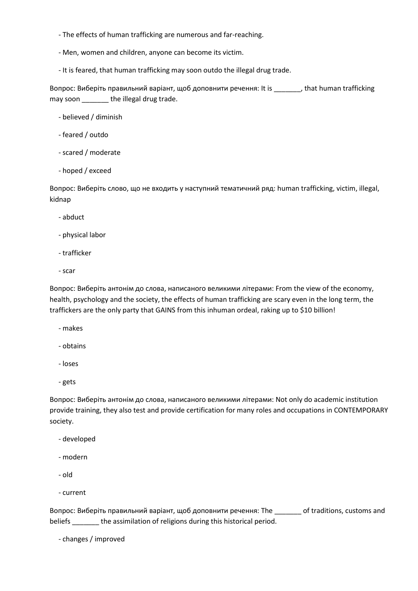- The effects of human trafficking are numerous and far-reaching.
- Men, women and children, anyone can become its victim.
- It is feared, that human trafficking may soon outdo the illegal drug trade.

Вопрос: Виберіть правильний варіант, щоб доповнити речення: It is \_\_\_\_\_\_\_, that human trafficking may soon \_\_\_\_\_\_\_ the illegal drug trade.

- believed / diminish
- feared / outdo
- scared / moderate
- hoped / exceed

Вопрос: Виберіть слово, що не входить у наступний тематичний ряд: human trafficking, victim, illegal, kidnap

- abduct
- physical labor
- trafficker
- scar

Вопрос: Виберіть антонім до слова, написаного великими літерами: From the view of the economy, health, psychology and the society, the effects of human trafficking are scary even in the long term, the traffickers are the only party that GAINS from this inhuman ordeal, raking up to \$10 billion!

- makes
- obtains
- loses
- gets

Вопрос: Виберіть антонім до слова, написаного великими літерами: Not only do academic institution provide training, they also test and provide certification for many roles and occupations in CONTEMPORARY society.

- developed
- modern
- old
- current

Вопрос: Виберіть правильний варіант, щоб доповнити речення: The discussions, customs and beliefs \_\_\_\_\_\_\_ the assimilation of religions during this historical period.

- changes / improved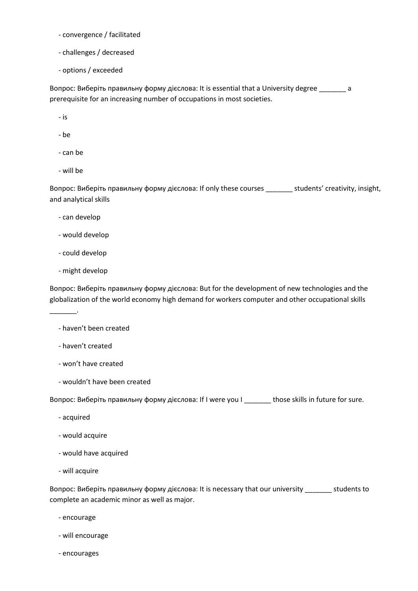- convergence / facilitated

- challenges / decreased
- options / exceeded

Вопрос: Виберіть правильну форму дієслова: It is essential that a University degree \_\_\_\_\_\_\_ a prerequisite for an increasing number of occupations in most societies.

- is
- be
- can be
- will be

Вопрос: Виберіть правильну форму дієслова: If only these courses \_\_\_\_\_\_\_ students' creativity, insight, and analytical skills

- can develop
- would develop
- could develop
- might develop

\_\_\_\_\_\_\_.

Вопрос: Виберіть правильну форму дієслова: But for the development of new technologies and the globalization of the world economy high demand for workers computer and other occupational skills

## - haven't been created

- haven't created
- won't have created
- wouldn't have been created

Вопрос: Виберіть правильну форму дієслова: If I were you I \_\_\_\_\_\_\_ those skills in future for sure.

- acquired
- would acquire
- would have acquired
- will acquire

Вопрос: Виберіть правильну форму дієслова: It is necessary that our university \_\_\_\_\_\_\_ students to complete an academic minor as well as major.

- encourage
- will encourage
- encourages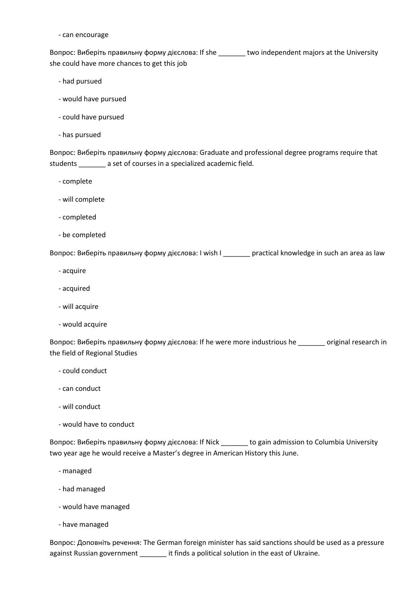## - can encourage

Вопрос: Виберіть правильну форму дієслова: If she \_\_\_\_\_\_\_ two independent majors at the University she could have more chances to get this job

- had pursued
- would have pursued
- could have pursued
- has pursued

Вопрос: Виберіть правильну форму дієслова: Graduate and professional degree programs require that students \_\_\_\_\_\_\_ a set of courses in a specialized academic field.

- complete
- will complete
- completed
- be completed

Вопрос: Виберіть правильну форму дієслова: I wish I \_\_\_\_\_\_\_ practical knowledge in such an area as law

- acquire
- acquired
- will acquire
- would acquire

Вопрос: Виберіть правильну форму дієслова: If he were more industrious he \_\_\_\_\_\_\_ original research in the field of Regional Studies

- could conduct
- can conduct
- will conduct
- would have to conduct

Вопрос: Виберіть правильну форму дієслова: If Nick \_\_\_\_\_\_\_ to gain admission to Columbia University two year age he would receive a Master's degree in American History this June.

- managed
- had managed
- would have managed
- have managed

Вопрос: Доповніть речення: The German foreign minister has said sanctions should be used as a pressure against Russian government \_\_\_\_\_\_\_ it finds a political solution in the east of Ukraine.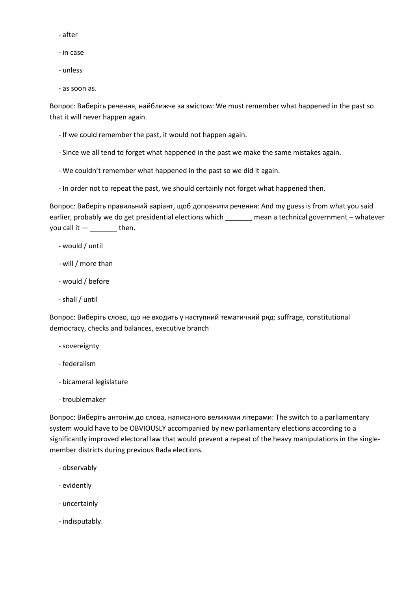- after
- in case
- unless
- as soon as.

Вопрос: Виберіть речення, найближче за змістом: We must remember what happened in the past so that it will never happen again.

- If we could remember the past, it would not happen again.
- Since we all tend to forget what happened in the past we make the same mistakes again.
- We couldn't remember what happened in the past so we did it again.
- In order not to repeat the past, we should certainly not forget what happened then.

Вопрос: Виберіть правильний варіант, щоб доповнити речення: And my guess is from what you said earlier, probably we do get presidential elections which \_\_\_\_\_\_\_ mean a technical government – whatever you call it  $-$  \_\_\_\_\_\_\_\_\_ then.

- would / until
- will / more than
- would / before
- shall / until

Вопрос: Виберіть слово, що не входить у наступний тематичний ряд: suffrage, constitutional democracy, checks and balances, executive branch

- sovereignty
- federalism
- bicameral legislature
- troublemaker

Вопрос: Виберіть антонім до слова, написаного великими літерами: The switch to a parliamentary system would have to be OBVIOUSLY accompanied by new parliamentary elections according to a significantly improved electoral law that would prevent a repeat of the heavy manipulations in the singlemember districts during previous Rada elections.

- observably
- evidently
- uncertainly
- indisputably.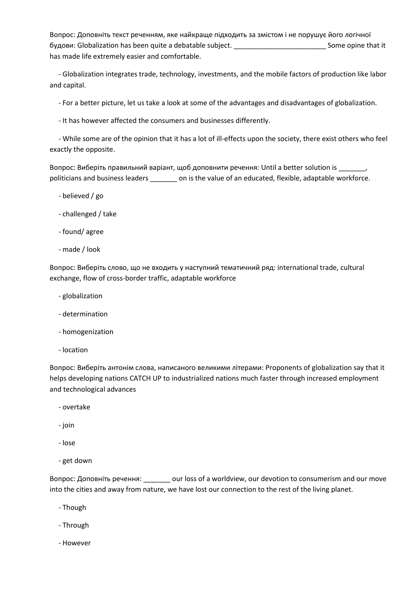Вопрос: Доповніть текст реченням, яке найкраще підходить за змістом і не порушує його логічної будови: Globalization has been quite a debatable subject. \_\_\_\_\_\_\_\_\_\_\_\_\_\_\_\_\_\_\_\_\_\_\_\_ Some opine that it has made life extremely easier and comfortable.

 - Globalization integrates trade, technology, investments, and the mobile factors of production like labor and capital.

- For a better picture, let us take a look at some of the advantages and disadvantages of globalization.

- It has however affected the consumers and businesses differently.

 - While some are of the opinion that it has a lot of ill-effects upon the society, there exist others who feel exactly the opposite.

Вопрос: Виберіть правильний варіант, щоб доповнити речення: Until a better solution is \_\_\_\_\_\_\_, politicians and business leaders \_\_\_\_\_\_\_ on is the value of an educated, flexible, adaptable workforce.

- believed / go
- challenged / take
- found/ agree
- made / look

Вопрос: Виберіть слово, що не входить у наступний тематичний ряд: international trade, cultural exchange, flow of cross-border traffic, adaptable workforce

- globalization
- determination
- homogenization
- location

Вопрос: Виберіть антонім слова, написаного великими літерами: Proponents of globalization say that it helps developing nations CATCH UP to industrialized nations much faster through increased employment and technological advances

- overtake
- join
- lose
- get down

Вопрос: Доповніть речення: \_\_\_\_\_\_\_ our loss of a worldview, our devotion to consumerism and our move into the cities and away from nature, we have lost our connection to the rest of the living planet.

- Though
- Through
- However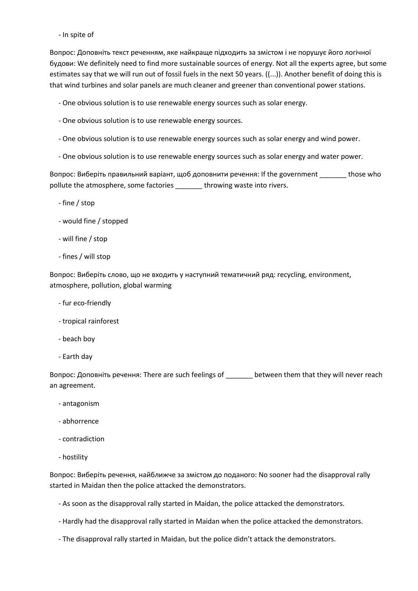- In spite of

Вопрос: Доповніть текст реченням, яке найкраще підходить за змістом і не порушує його логічної будови: We definitely need to find more sustainable sources of energy. Not all the experts agree, but some estimates say that we will run out of fossil fuels in the next 50 years. ((...)). Another benefit of doing this is that wind turbines and solar panels are much cleaner and greener than conventional power stations.

- One obvious solution is to use renewable energy sources such as solar energy.

- One obvious solution is to use renewable energy sources.
- One obvious solution is to use renewable energy sources such as solar energy and wind power.
- One obvious solution is to use renewable energy sources such as solar energy and water power.

Вопрос: Виберіть правильний варіант, щоб доповнити речення: If the government those who pollute the atmosphere, some factories \_\_\_\_\_\_\_ throwing waste into rivers.

- fine / stop
- would fine / stopped
- will fine / stop
- fines / will stop

Вопрос: Виберіть слово, що не входить у наступний тематичний ряд: recycling, environment, atmosphere, pollution, global warming

- fur eco-friendly
- tropical rainforest
- beach boy
- Earth day

Вопрос: Доповніть речення: There are such feelings of \_\_\_\_\_\_\_ between them that they will never reach an agreement.

- antagonism
- abhorrence
- contradiction
- hostility

Вопрос: Виберіть речення, найближче за змістом до поданого: No sooner had the disapproval rally started in Maidan then the police attacked the demonstrators.

- As soon as the disapproval rally started in Maidan, the police attacked the demonstrators.
- Hardly had the disapproval rally started in Maidan when the police attacked the demonstrators.
- The disapproval rally started in Maidan, but the police didn't attack the demonstrators.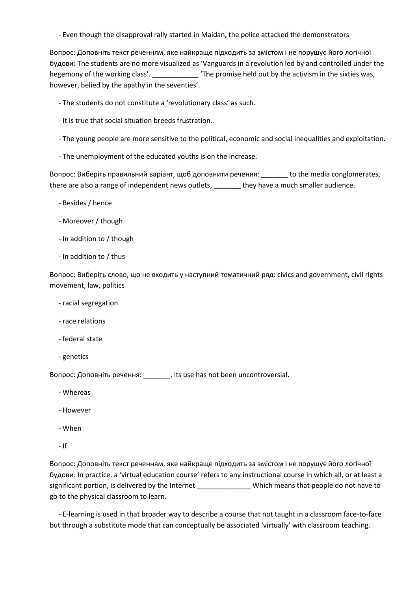- Even though the disapproval rally started in Maidan, the police attacked the demonstrators

Вопрос: Доповніть текст реченням, яке найкраще підходить за змістом і не порушує його логічної будови: The students are no more visualized as 'Vanguards in a revolution led by and controlled under the hegemony of the working class'. \_\_\_\_\_\_\_\_\_\_\_ 'The promise held out by the activism in the sixties was, however, belied by the apathy in the seventies'.

- The students do not constitute a 'revolutionary class' as such.
- It is true that social situation breeds frustration.
- The young people are more sensitive to the political, economic and social inequalities and exploitation.
- The unemployment of the educated youths is on the increase.

Вопрос: Виберіть правильний варіант, щоб доповнити речення: come to the media conglomerates, there are also a range of independent news outlets, \_\_\_\_\_\_\_ they have a much smaller audience.

- Besides / hence
- Moreover / though
- In addition to / though
- In addition to / thus

Вопрос: Виберіть слово, що не входить у наступний тематичний ряд: civics and government, civil rights movement, law, politics

- racial segregation
- race relations
- federal state
- genetics

Вопрос: Доповніть речення: \_\_\_\_\_\_\_, its use has not been uncontroversial.

- Whereas
- However
- When
- $-$  If

Вопрос: Доповніть текст реченням, яке найкраще підходить за змістом і не порушує його логічної будови: In practice, a 'virtual education course' refers to any instructional course in which all, or at least a significant portion, is delivered by the Internet \_\_\_\_\_\_\_\_\_\_\_\_\_\_\_\_\_Which means that people do not have to go to the physical classroom to learn.

 - E-learning is used in that broader way to describe a course that not taught in a classroom face-to-face but through a substitute mode that can conceptually be associated 'virtually' with classroom teaching.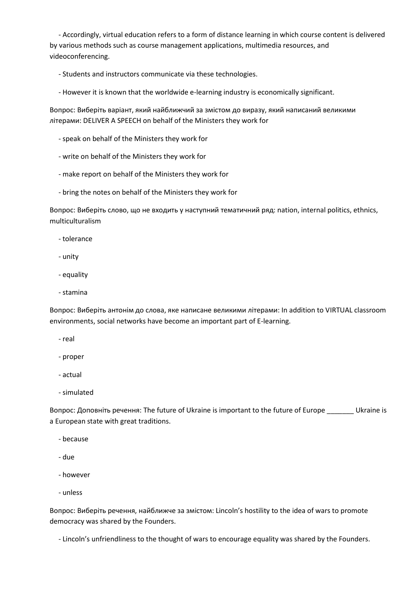- Accordingly, virtual education refers to a form of distance learning in which course content is delivered by various methods such as course management applications, multimedia resources, and videoconferencing.

- Students and instructors communicate via these technologies.

- However it is known that the worldwide e-learning industry is economically significant.

Вопрос: Виберіть варіант, який найближчий за змістом до виразу, який написаний великими літерами: DELIVER A SPEECH on behalf of the Ministers they work for

- speak on behalf of the Ministers they work for
- write on behalf of the Ministers they work for
- make report on behalf of the Ministers they work for
- bring the notes on behalf of the Ministers they work for

Вопрос: Виберіть слово, що не входить у наступний тематичний ряд: nation, internal politics, ethnics, multiculturalism

- tolerance

- unity
- equality
- stamina

Вопрос: Виберіть антонім до слова, яке написане великими літерами: In addition to VIRTUAL classroom environments, social networks have become an important part of E-learning.

- real
- proper
- actual
- simulated

Вопрос: Доповніть речення: The future of Ukraine is important to the future of Europe \_\_\_\_\_\_\_ Ukraine is a European state with great traditions.

- because
- due
- however
- unless

Вопрос: Виберіть речення, найближче за змістом: Lincoln's hostility to the idea of wars to promote democracy was shared by the Founders.

- Lincoln's unfriendliness to the thought of wars to encourage equality was shared by the Founders.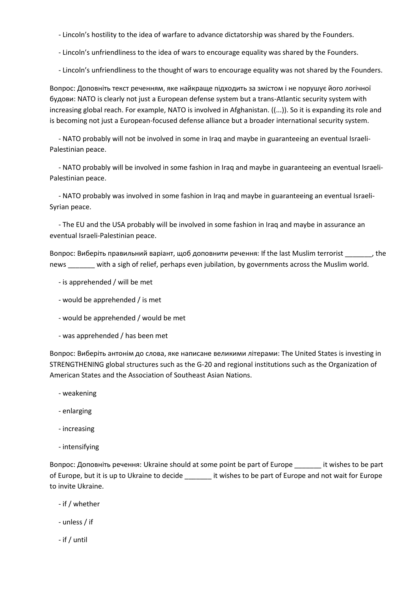- Lincoln's hostility to the idea of warfare to advance dictatorship was shared by the Founders.

- Lincoln's unfriendliness to the idea of wars to encourage equality was shared by the Founders.

- Lincoln's unfriendliness to the thought of wars to encourage equality was not shared by the Founders.

Вопрос: Доповніть текст реченням, яке найкраще підходить за змістом і не порушує його логічної будови: NATO is clearly not just a European defense system but a trans-Atlantic security system with increasing global reach. For example, NATO is involved in Afghanistan. ((...)). So it is expanding its role and is becoming not just a European-focused defense alliance but a broader international security system.

 - NATO probably will not be involved in some in Iraq and maybe in guaranteeing an eventual Israeli-Palestinian peace.

 - NATO probably will be involved in some fashion in Iraq and maybe in guaranteeing an eventual Israeli-Palestinian peace.

 - NATO probably was involved in some fashion in Iraq and maybe in guaranteeing an eventual Israeli-Syrian peace.

 - The EU and the USA probably will be involved in some fashion in Iraq and maybe in assurance an eventual Israeli-Palestinian peace.

Вопрос: Виберіть правильний варіант, щоб доповнити речення: If the last Muslim terrorist \_\_\_\_\_\_\_, the news \_\_\_\_\_\_\_ with a sigh of relief, perhaps even jubilation, by governments across the Muslim world.

- is apprehended / will be met
- would be apprehended / is met
- would be apprehended / would be met
- was apprehended / has been met

Вопрос: Виберіть антонім до слова, яке написане великими літерами: The United States is investing in STRENGTHENING global structures such as the G-20 and regional institutions such as the Organization of American States and the Association of Southeast Asian Nations.

- weakening
- enlarging
- increasing
- intensifying

Вопрос: Доповніть речення: Ukraine should at some point be part of Europe \_\_\_\_\_\_\_ it wishes to be part of Europe, but it is up to Ukraine to decide \_\_\_\_\_\_\_ it wishes to be part of Europe and not wait for Europe to invite Ukraine.

- if / whether
- unless / if
- if / until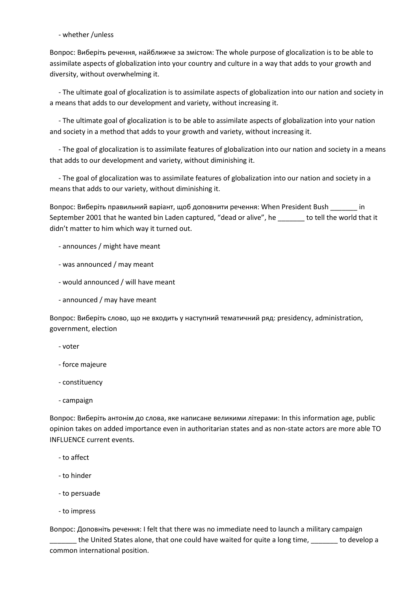- whether /unless

Вопрос: Виберіть речення, найближче за змістом: The whole purpose of glocalization is to be able to assimilate aspects of globalization into your country and culture in a way that adds to your growth and diversity, without overwhelming it.

 - The ultimate goal of glocalization is to assimilate aspects of globalization into our nation and society in a means that adds to our development and variety, without increasing it.

 - The ultimate goal of glocalization is to be able to assimilate aspects of globalization into your nation and society in a method that adds to your growth and variety, without increasing it.

 - The goal of glocalization is to assimilate features of globalization into our nation and society in a means that adds to our development and variety, without diminishing it.

 - The goal of glocalization was to assimilate features of globalization into our nation and society in a means that adds to our variety, without diminishing it.

Вопрос: Виберіть правильний варіант, щоб доповнити речення: When President Bush \_\_\_\_\_\_\_ in September 2001 that he wanted bin Laden captured, "dead or alive", he \_\_\_\_\_\_\_ to tell the world that it didn't matter to him which way it turned out.

- announces / might have meant
- was announced / may meant
- would announced / will have meant
- announced / may have meant

Вопрос: Виберіть слово, що не входить у наступний тематичний ряд: presidency, administration, government, election

- voter
- force majeure
- constituency
- campaign

Вопрос: Виберіть антонім до слова, яке написане великими літерами: In this information age, public opinion takes on added importance even in authoritarian states and as non-state actors are more able TO INFLUENCE current events.

- to affect
- to hinder
- to persuade
- to impress

Вопрос: Доповніть речення: I felt that there was no immediate need to launch a military campaign

\_\_\_\_\_\_\_ the United States alone, that one could have waited for quite a long time, \_\_\_\_\_\_\_ to develop a common international position.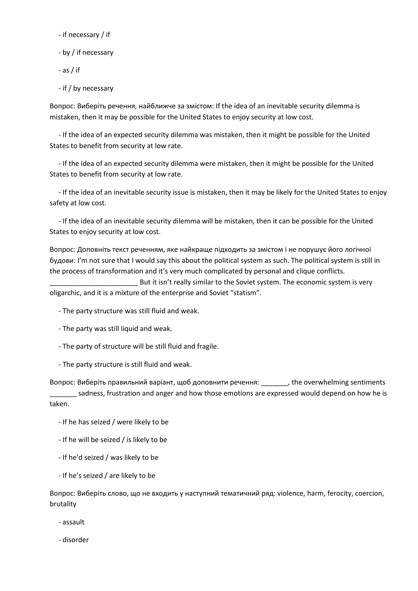- if necessary / if

- by / if necessary

- as / if

- if / by necessary

Вопрос: Виберіть речення, найближче за змістом: If the idea of an inevitable security dilemma is mistaken, then it may be possible for the United States to enjoy security at low cost.

 - If the idea of an expected security dilemma was mistaken, then it might be possible for the United States to benefit from security at low rate.

 - If the idea of an expected security dilemma were mistaken, then it might be possible for the United States to benefit from security at low rate.

 - If the idea of an inevitable security issue is mistaken, then it may be likely for the United States to enjoy safety at low cost.

 - If the idea of an inevitable security dilemma will be mistaken, then it can be possible for the United States to enjoy security at low cost.

Вопрос: Доповніть текст реченням, яке найкраще підходить за змістом і не порушує його логічної будови: I'm not sure that I would say this about the political system as such. The political system is still in the process of transformation and it's very much complicated by personal and clique conflicts.

But it isn't really similar to the Soviet system. The economic system is very oligarchic, and it is a mixture of the enterprise and Soviet "statism".

- The party structure was still fluid and weak.
- The party was still liquid and weak.
- The party of structure will be still fluid and fragile.
- The party structure is still fluid and weak.

Вопрос: Виберіть правильний варіант, щоб доповнити речення: \_\_\_\_\_\_\_, the overwhelming sentiments

\_\_\_\_\_\_\_ sadness, frustration and anger and how those emotions are expressed would depend on how he is taken.

- If he has seized / were likely to be
- If he will be seized / is likely to be
- If he'd seized / was likely to be
- If he's seized / are likely to be

Вопрос: Виберіть слово, що не входить у наступний тематичний ряд: violence, harm, ferocity, coercion, brutality

- assault
- disorder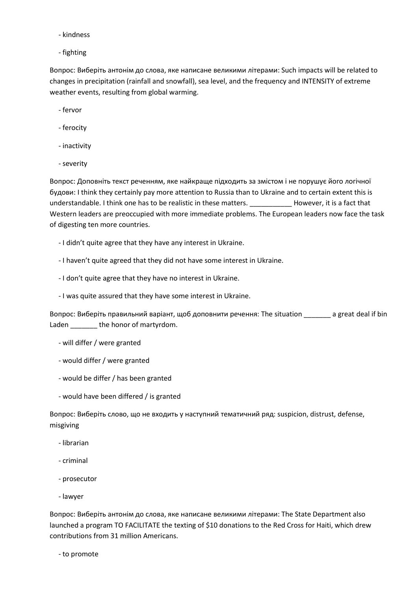- kindness
- fighting

Вопрос: Виберіть антонім до слова, яке написане великими літерами: Such impacts will be related to changes in precipitation (rainfall and snowfall), sea level, and the frequency and INTENSITY of extreme weather events, resulting from global warming.

- fervor
- ferocity
- inactivity
- severity

Вопрос: Доповніть текст реченням, яке найкраще підходить за змістом і не порушує його логічної будови: I think they certainly pay more attention to Russia than to Ukraine and to certain extent this is understandable. I think one has to be realistic in these matters. \_\_\_\_\_\_\_\_\_\_\_ However, it is a fact that Western leaders are preoccupied with more immediate problems. The European leaders now face the task of digesting ten more countries.

- I didn't quite agree that they have any interest in Ukraine.
- I haven't quite agreed that they did not have some interest in Ukraine.
- I don't quite agree that they have no interest in Ukraine.
- I was quite assured that they have some interest in Ukraine.

Вопрос: Виберіть правильний варіант, щоб доповнити речення: The situation \_\_\_\_\_\_\_ a great deal if bin Laden \_\_\_\_\_\_\_\_\_ the honor of martyrdom.

- will differ / were granted
- would differ / were granted
- would be differ / has been granted
- would have been differed / is granted

Вопрос: Виберіть слово, що не входить у наступний тематичний ряд: suspicion, distrust, defense, misgiving

- librarian
- criminal
- prosecutor
- lawyer

Вопрос: Виберіть антонім до слова, яке написане великими літерами: The State Department also launched a program TO FACILITATE the texting of \$10 donations to the Red Cross for Haiti, which drew contributions from 31 million Americans.

- to promote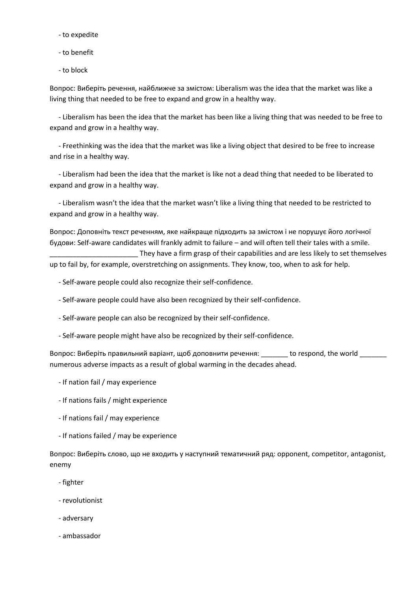- to expedite
- to benefit
- to block

Вопрос: Виберіть речення, найближче за змістом: Liberalism was the idea that the market was like a living thing that needed to be free to expand and grow in a healthy way.

 - Liberalism has been the idea that the market has been like a living thing that was needed to be free to expand and grow in a healthy way.

 - Freethinking was the idea that the market was like a living object that desired to be free to increase and rise in a healthy way.

 - Liberalism had been the idea that the market is like not a dead thing that needed to be liberated to expand and grow in a healthy way.

 - Liberalism wasn't the idea that the market wasn't like a living thing that needed to be restricted to expand and grow in a healthy way.

Вопрос: Доповніть текст реченням, яке найкраще підходить за змістом і не порушує його логічної будови: Self-aware candidates will frankly admit to failure – and will often tell their tales with a smile. They have a firm grasp of their capabilities and are less likely to set themselves up to fail by, for example, overstretching on assignments. They know, too, when to ask for help.

- Self-aware people could also recognize their self-confidence.
- Self-aware people could have also been recognized by their self-confidence.
- Self-aware people can also be recognized by their self-confidence.
- Self-aware people might have also be recognized by their self-confidence.

Вопрос: Виберіть правильний варіант, щоб доповнити речення: \_\_\_\_\_\_\_ to respond, the world numerous adverse impacts as a result of global warming in the decades ahead.

- If nation fail / may experience
- If nations fails / might experience
- If nations fail / may experience
- If nations failed / may be experience

Вопрос: Виберіть слово, що не входить у наступний тематичний ряд: opponent, competitor, antagonist, enemy

- fighter
- revolutionist
- adversary
- ambassador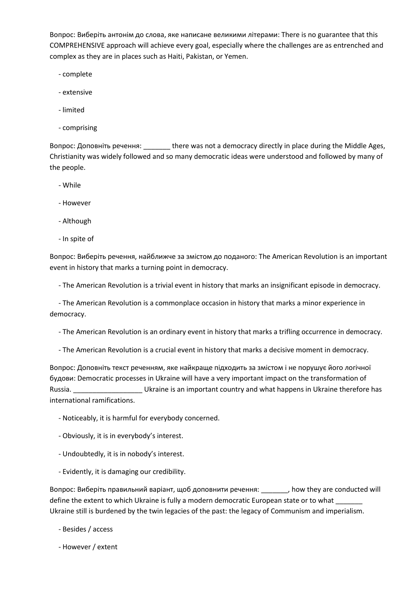Вопрос: Виберіть антонім до слова, яке написане великими літерами: There is no guarantee that this COMPREHENSIVE approach will achieve every goal, especially where the challenges are as entrenched and complex as they are in places such as Haiti, Pakistan, or Yemen.

- complete
- extensive
- limited
- comprising

Вопрос: Доповніть речення: \_\_\_\_\_\_\_ there was not a democracy directly in place during the Middle Ages, Christianity was widely followed and so many democratic ideas were understood and followed by many of the people.

- While
- However
- Although
- In spite of

Вопрос: Виберіть речення, найближче за змістом до поданого: The American Revolution is an important event in history that marks a turning point in democracy.

- The American Revolution is a trivial event in history that marks an insignificant episode in democracy.

 - The American Revolution is a commonplace occasion in history that marks a minor experience in democracy.

- The American Revolution is an ordinary event in history that marks a trifling occurrence in democracy.

- The American Revolution is a crucial event in history that marks a decisive moment in democracy.

Вопрос: Доповніть текст реченням, яке найкраще підходить за змістом і не порушує його логічної будови: Democratic processes in Ukraine will have a very important impact on the transformation of Russia. \_\_\_\_\_\_\_\_\_\_\_\_\_\_\_\_\_\_\_\_\_\_\_\_Ukraine is an important country and what happens in Ukraine therefore has international ramifications.

- Noticeably, it is harmful for everybody concerned.
- Obviously, it is in everybody's interest.
- Undoubtedly, it is in nobody's interest.
- Evidently, it is damaging our credibility.

Вопрос: Виберіть правильний варіант, щоб доповнити речення: \_\_\_\_\_\_\_, how they are conducted will define the extent to which Ukraine is fully a modern democratic European state or to what Ukraine still is burdened by the twin legacies of the past: the legacy of Communism and imperialism.

- Besides / access
- However / extent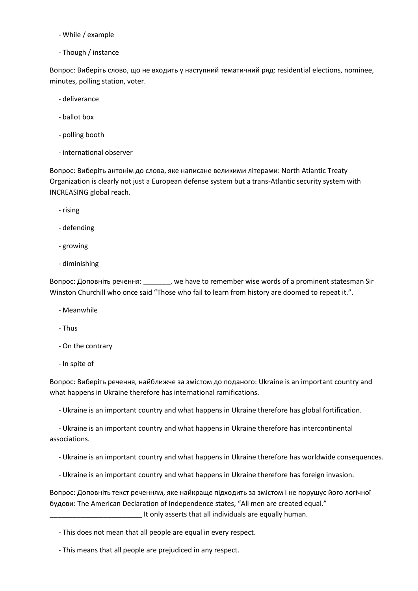- While / example
- Though / instance

Вопрос: Виберіть слово, що не входить у наступний тематичний ряд: residential elections, nominee, minutes, polling station, voter.

- deliverance
- ballot box
- polling booth
- international observer

Вопрос: Виберіть антонім до слова, яке написане великими літерами: North Atlantic Treaty Organization is clearly not just a European defense system but a trans-Atlantic security system with INCREASING global reach.

- rising
- defending
- growing
- diminishing

Вопрос: Доповніть речення: \_\_\_\_\_\_\_, we have to remember wise words of a prominent statesman Sir Winston Churchill who once said "Those who fail to learn from history are doomed to repeat it.".

- Meanwhile
- Thus
- On the contrary
- In spite of

Вопрос: Виберіть речення, найближче за змістом до поданого: Ukraine is an important country and what happens in Ukraine therefore has international ramifications.

- Ukraine is an important country and what happens in Ukraine therefore has global fortification.

 - Ukraine is an important country and what happens in Ukraine therefore has intercontinental associations.

- Ukraine is an important country and what happens in Ukraine therefore has worldwide consequences.
- Ukraine is an important country and what happens in Ukraine therefore has foreign invasion.

Вопрос: Доповніть текст реченням, яке найкраще підходить за змістом і не порушує його логічної будови: The American Declaration of Independence states, "All men are created equal." It only asserts that all individuals are equally human.

- This does not mean that all people are equal in every respect.
- This means that all people are prejudiced in any respect.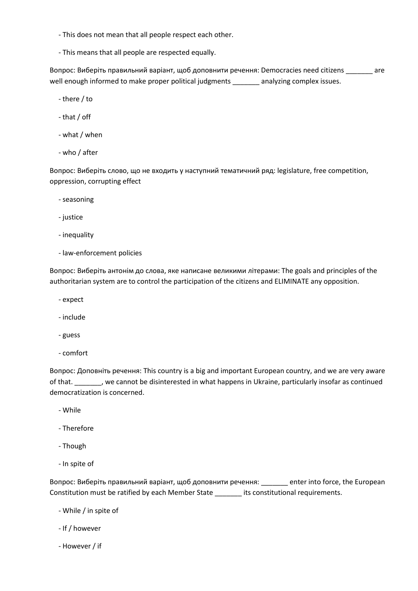- This does not mean that all people respect each other.

- This means that all people are respected equally.

Вопрос: Виберіть правильний варіант, щоб доповнити речення: Democracies need citizens \_\_\_\_\_\_\_ are well enough informed to make proper political judgments analyzing complex issues.

- there / to
- that / off
- what / when
- who / after

Вопрос: Виберіть слово, що не входить у наступний тематичний ряд: legislature, free competition, oppression, corrupting effect

- seasoning
- justice
- inequality
- law-enforcement policies

Вопрос: Виберіть антонім до слова, яке написане великими літерами: The goals and principles of the authoritarian system are to control the participation of the citizens and ELIMINATE any opposition.

- expect
- include
- guess
- comfort

Вопрос: Доповніть речення: This country is a big and important European country, and we are very aware of that. \_\_\_\_\_\_\_, we cannot be disinterested in what happens in Ukraine, particularly insofar as continued democratization is concerned.

- While
- Therefore
- Though
- In spite of

Вопрос: Виберіть правильний варіант, щоб доповнити речення: enter into force, the European Constitution must be ratified by each Member State \_\_\_\_\_\_\_ its constitutional requirements.

- While / in spite of
- If / however
- However / if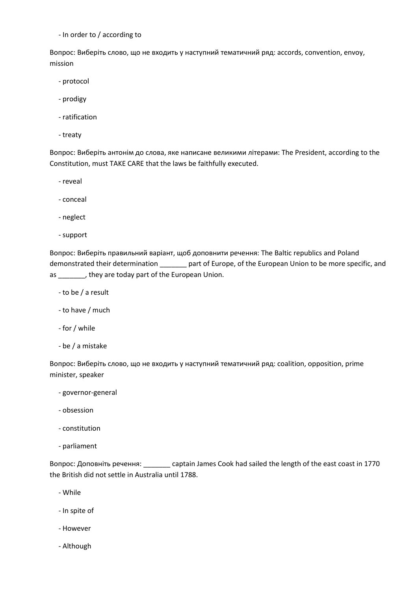- In order to / according to

Вопрос: Виберіть слово, що не входить у наступний тематичний ряд: accords, convention, envoy, mission

- protocol
- prodigy
- ratification
- treaty

Вопрос: Виберіть антонім до слова, яке написане великими літерами: The President, according to the Constitution, must TAKE CARE that the laws be faithfully executed.

- reveal
- conceal
- neglect
- support

Вопрос: Виберіть правильний варіант, щоб доповнити речення: The Baltic republics and Poland demonstrated their determination \_\_\_\_\_\_\_ part of Europe, of the European Union to be more specific, and as \_\_\_\_\_\_\_, they are today part of the European Union.

- to be / a result
- to have / much
- for / while
- be / a mistake

Вопрос: Виберіть слово, що не входить у наступний тематичний ряд: coalition, opposition, prime minister, speaker

- governor-general
- obsession
- constitution
- parliament

Вопрос: Доповніть речення: \_\_\_\_\_\_\_ captain James Cook had sailed the length of the east coast in 1770 the British did not settle in Australia until 1788.

- While
- In spite of
- However
- Although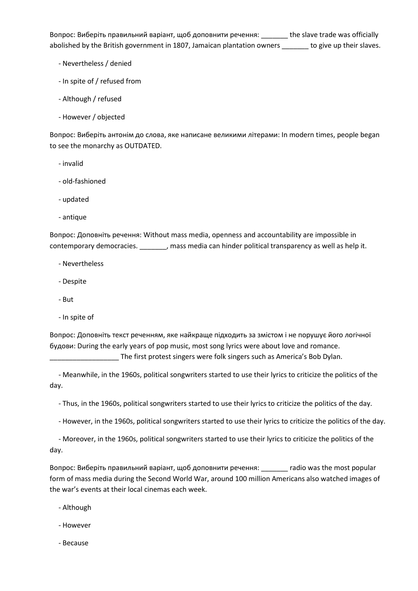Вопрос: Виберіть правильний варіант, щоб доповнити речення: <br>
и the slave trade was officially abolished by the British government in 1807, Jamaican plantation owners \_\_\_\_\_\_\_ to give up their slaves.

- Nevertheless / denied
- In spite of / refused from
- Although / refused
- However / objected

Вопрос: Виберіть антонім до слова, яке написане великими літерами: In modern times, people began to see the monarchy as OUTDATED.

- invalid
- old-fashioned
- updated
- antique

Вопрос: Доповніть речення: Without mass media, openness and accountability are impossible in contemporary democracies. \_\_\_\_\_\_\_, mass media can hinder political transparency as well as help it.

- Nevertheless
- Despite
- But
- In spite of

Вопрос: Доповніть текст реченням, яке найкраще підходить за змістом і не порушує його логічної будови: During the early years of pop music, most song lyrics were about love and romance.

The first protest singers were folk singers such as America's Bob Dylan.

 - Meanwhile, in the 1960s, political songwriters started to use their lyrics to criticize the politics of the day.

- Thus, in the 1960s, political songwriters started to use their lyrics to criticize the politics of the day.

- However, in the 1960s, political songwriters started to use their lyrics to criticize the politics of the day.

 - Moreover, in the 1960s, political songwriters started to use their lyrics to criticize the politics of the day.

Вопрос: Виберіть правильний варіант, щоб доповнити речення: \_\_\_\_\_\_\_ radio was the most popular form of mass media during the Second World War, around 100 million Americans also watched images of the war's events at their local cinemas each week.

- Although
- However
- Because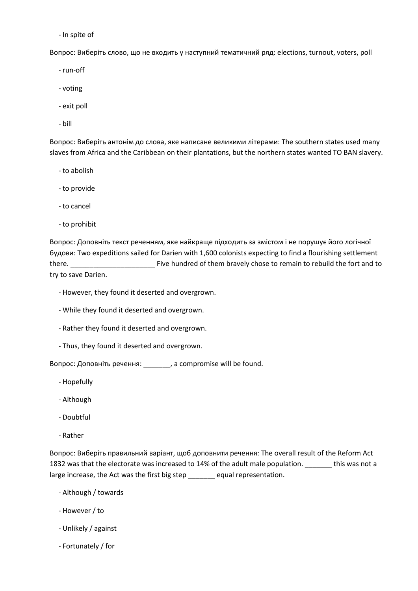- In spite of

Вопрос: Виберіть слово, що не входить у наступний тематичний ряд: elections, turnout, voters, poll

- run-off

- voting
- exit poll
- bill

Вопрос: Виберіть антонім до слова, яке написане великими літерами: The southern states used many slaves from Africa and the Caribbean on their plantations, but the northern states wanted TO BAN slavery.

- to abolish
- to provide
- to cancel
- to prohibit

Вопрос: Доповніть текст реченням, яке найкраще підходить за змістом і не порушує його логічної будови: Two expeditions sailed for Darien with 1,600 colonists expecting to find a flourishing settlement there. \_\_\_\_\_\_\_\_\_\_\_\_\_\_\_\_\_\_\_\_\_\_ Five hundred of them bravely chose to remain to rebuild the fort and to try to save Darien.

- However, they found it deserted and overgrown.
- While they found it deserted and overgrown.
- Rather they found it deserted and overgrown.
- Thus, they found it deserted and overgrown.

Вопрос: Доповніть речення: \_\_\_\_\_\_\_, a compromise will be found.

- Hopefully
- Although
- Doubtful
- Rather

Вопрос: Виберіть правильний варіант, щоб доповнити речення: The overall result of the Reform Act 1832 was that the electorate was increased to 14% of the adult male population. \_\_\_\_\_\_\_ this was not a large increase, the Act was the first big step \_\_\_\_\_\_\_ equal representation.

- Although / towards
- However / to
- Unlikely / against
- Fortunately / for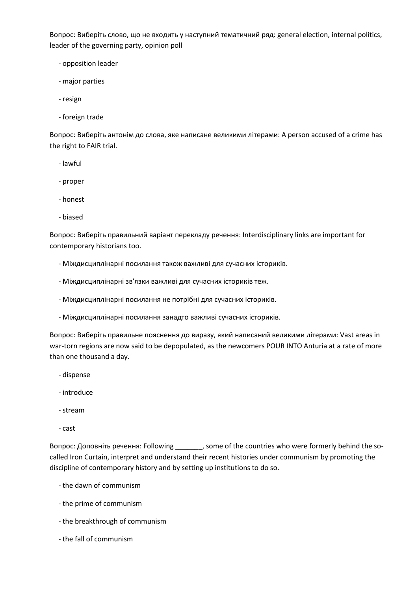Вопрос: Виберіть слово, що не входить у наступний тематичний ряд: general election, internal politics, leader of the governing party, opinion poll

- opposition leader
- major parties
- resign
- foreign trade

Вопрос: Виберіть антонім до слова, яке написане великими літерами: A person accused of a crime has the right to FAIR trial.

- lawful
- proper
- honest
- biased

Вопрос: Виберіть правильний варіант перекладу речення: Interdisciplinary links are important for contemporary historians too.

- Міждисциплінарні посилання також важливі для сучасних істориків.
- Міждисциплінарні зв'язки важливі для сучасних істориків теж.
- Міждисциплінарні посилання не потрібні для сучасних істориків.
- Міждисциплінарні посилання занадто важливі сучасних істориків.

Вопрос: Виберіть правильне пояснення до виразу, який написаний великими літерами: Vast areas in war-torn regions are now said to be depopulated, as the newcomers POUR INTO Anturia at a rate of more than one thousand a day.

- dispense
- introduce
- stream
- cast

Вопрос: Доповніть речення: Following \_\_\_\_\_\_\_, some of the countries who were formerly behind the socalled Iron Curtain, interpret and understand their recent histories under communism by promoting the discipline of contemporary history and by setting up institutions to do so.

- the dawn of communism
- the prime of communism
- the breakthrough of communism
- the fall of communism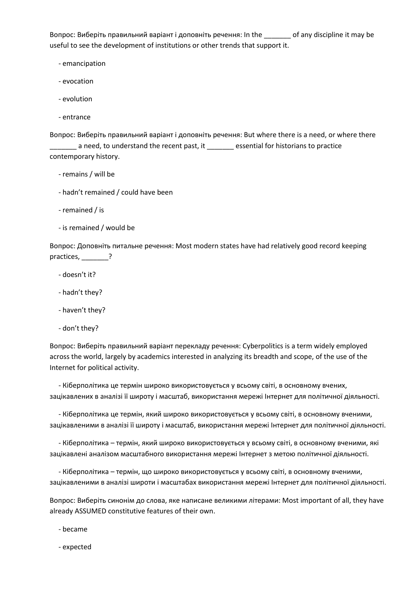Вопрос: Виберіть правильний варіант і доповніть речення: In the \_\_\_\_\_\_\_ of any discipline it may be useful to see the development of institutions or other trends that support it.

- emancipation
- evocation
- evolution
- entrance

Вопрос: Виберіть правильний варіант і доповніть речення: But where there is a need, or where there **\_\_\_\_\_** a need, to understand the recent past, it \_\_\_\_\_\_\_ essential for historians to practice contemporary history.

- remains / will be
- hadn't remained / could have been
- remained / is
- is remained / would be

Вопрос: Доповніть питальне речення: Most modern states have had relatively good record keeping practices, 2

- doesn't it?
- hadn't they?
- haven't they?
- don't they?

Вопрос: Виберіть правильний варіант перекладу речення: Cyberpolitics is a term widely employed across the world, largely by academics interested in analyzing its breadth and scope, of the use of the Internet for political activity.

 - Кіберполітика це термін широко використовується у всьому світі, в основному вчених, зацікавлених в аналізі її широту і масштаб, використання мережі Інтернет для політичної діяльності.

 - Кіберполітика це термін, який широко використовується у всьому світі, в основному вченими, зацікавленими в аналізі її широту і масштаб, використання мережі Інтернет для політичної діяльності.

 - Кіберполітика – термін, який широко використовується у всьому світі, в основному вченими, які зацікавлені аналізом масштабного використання мережі Інтернет з метою політичної діяльності.

 - Кіберполітика – термін, що широко використовується у всьому світі, в основному вченими, зацікавленими в аналізі широти і масштабах використання мережі Інтернет для політичної діяльності.

Вопрос: Виберіть синонім до слова, яке написане великими літерами: Most important of all, they have already ASSUMED constitutive features of their own.

- became

- expected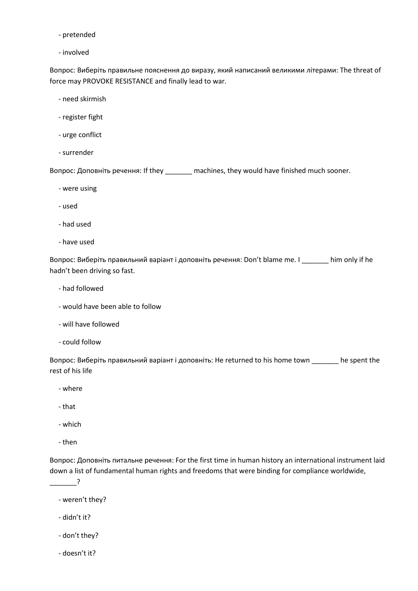- pretended
- involved

Вопрос: Виберіть правильне пояснення до виразу, який написаний великими літерами: The threat of force may PROVOKE RESISTANCE and finally lead to war.

- need skirmish
- register fight
- urge conflict
- surrender

Вопрос: Доповніть речення: If they \_\_\_\_\_\_\_ machines, they would have finished much sooner.

- were using
- used
- had used
- have used

Вопрос: Виберіть правильний варіант і доповніть речення: Don't blame me. I \_\_\_\_\_\_\_ him only if he hadn't been driving so fast.

- had followed
- would have been able to follow
- will have followed
- could follow

Вопрос: Виберіть правильний варіант і доповніть: He returned to his home town \_\_\_\_\_\_\_ he spent the rest of his life

- where
- that
- which
- then

 $\overline{?}$ 

Вопрос: Доповніть питальне речення: For the first time in human history an international instrument laid down a list of fundamental human rights and freedoms that were binding for compliance worldwide,

- weren't they?
- didn't it?
- don't they?
- doesn't it?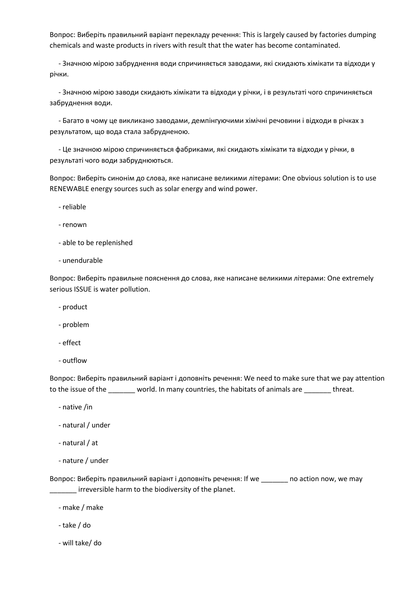Вопрос: Виберіть правильний варіант перекладу речення: This is largely caused by factories dumping chemicals and waste products in rivers with result that the water has become contaminated.

 - Значною мірою забруднення води спричиняється заводами, які скидають хімікати та відходи у річки.

 - Значною мірою заводи скидають хімікати та відходи у річки, і в результаті чого спричиняється забруднення води.

 - Багато в чому це викликано заводами, демпінгуючими хімічні речовини і відходи в річках з результатом, що вода стала забрудненою.

 - Це значною мірою спричиняється фабриками, які скидають хімікати та відходи у річки, в результаті чого води забруднюються.

Вопрос: Виберіть синонім до слова, яке написане великими літерами: One obvious solution is to use RENEWABLE energy sources such as solar energy and wind power.

- reliable
- renown
- able to be replenished
- unendurable

Вопрос: Виберіть правильне пояснення до слова, яке написане великими літерами: One extremely serious ISSUE is water pollution.

- product
- problem
- effect
- outflow

Вопрос: Виберіть правильний варіант і доповніть речення: We need to make sure that we pay attention to the issue of the \_\_\_\_\_\_\_ world. In many countries, the habitats of animals are \_\_\_\_\_\_\_ threat.

- native /in
- natural / under
- natural / at
- nature / under

Вопрос: Виберіть правильний варіант і доповніть речення: If we \_\_\_\_\_\_\_ no action now, we may irreversible harm to the biodiversity of the planet.

- make / make
- take / do
- will take/ do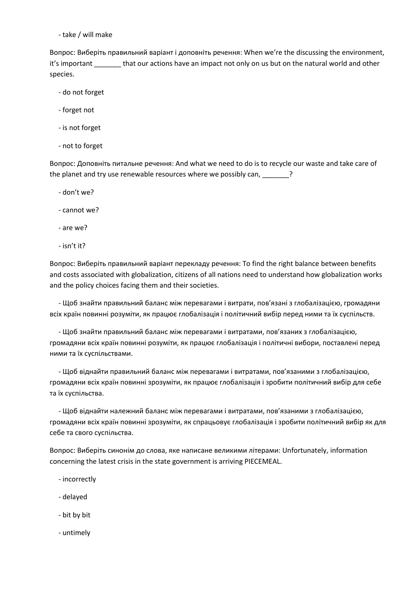- take / will make

Вопрос: Виберіть правильний варіант і доповніть речення: When we're the discussing the environment, it's important \_\_\_\_\_\_\_ that our actions have an impact not only on us but on the natural world and other species.

- do not forget
- forget not
- is not forget
- not to forget

Вопрос: Доповніть питальне речення: And what we need to do is to recycle our waste and take care of the planet and try use renewable resources where we possibly can,  $\frac{1}{2}$ 

- don't we?
- cannot we?
- are we?
- isn't it?

Вопрос: Виберіть правильний варіант перекладу речення: To find the right balance between benefits and costs associated with globalization, citizens of all nations need to understand how globalization works and the policy choices facing them and their societies.

 - Щоб знайти правильний баланс між перевагами і витрати, пов'язані з глобалізацією, громадяни всіх країн повинні розуміти, як працює глобалізація і політичний вибір перед ними та їх суспільств.

 - Щоб знайти правильний баланс між перевагами і витратами, пов'язаних з глобалізацією, громадяни всіх країн повинні розуміти, як працює глобалізація і політичні вибори, поставлені перед ними та їх суспільствами.

 - Щоб віднайти правильний баланс між перевагами і витратами, пов'язаними з глобалізацією, громадяни всіх країн повинні зрозуміти, як працює глобалізація і зробити політичний вибір для себе та їх суспільства.

 - Щоб віднайти належний баланс між перевагами і витратами, пов'язаними з глобалізацією, громадяни всіх країн повинні зрозуміти, як спрацьовує глобалізація і зробити політичний вибір як для себе та свого суспільства.

Вопрос: Виберіть синонім до слова, яке написане великими літерами: Unfortunately, information concerning the latest crisis in the state government is arriving PIECEMEAL.

- incorrectly
- delayed
- bit by bit
- untimely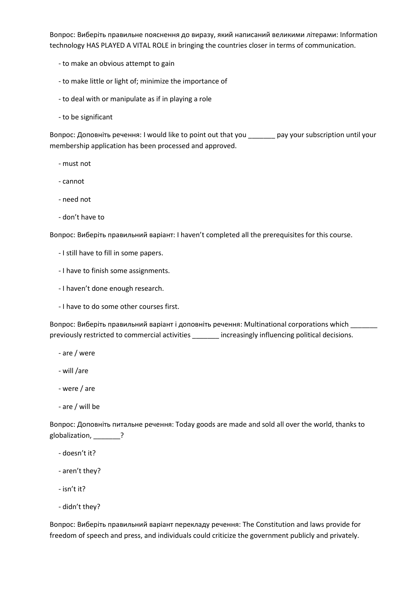Вопрос: Виберіть правильне пояснення до виразу, який написаний великими літерами: Information technology HAS PLAYED A VITAL ROLE in bringing the countries closer in terms of communication.

- to make an obvious attempt to gain
- to make little or light of; minimize the importance of
- to deal with or manipulate as if in playing a role
- to be significant

Вопрос: Доповніть речення: I would like to point out that you \_\_\_\_\_\_\_ pay your subscription until your membership application has been processed and approved.

- must not
- cannot
- need not
- don't have to

Вопрос: Виберіть правильний варіант: I haven't completed all the prerequisites for this course.

- I still have to fill in some papers.
- I have to finish some assignments.
- I haven't done enough research.
- I have to do some other courses first.

Вопрос: Виберіть правильний варіант і доповніть речення: Multinational corporations which \_\_\_\_\_\_\_ previously restricted to commercial activities \_\_\_\_\_\_\_ increasingly influencing political decisions.

- are / were
- will /are
- were / are
- are / will be

Вопрос: Доповніть питальне речення: Today goods are made and sold all over the world, thanks to globalization, \_\_\_\_\_\_?

- doesn't it?
- aren't they?
- isn't it?
- didn't they?

Вопрос: Виберіть правильний варіант перекладу речення: The Constitution and laws provide for freedom of speech and press, and individuals could criticize the government publicly and privately.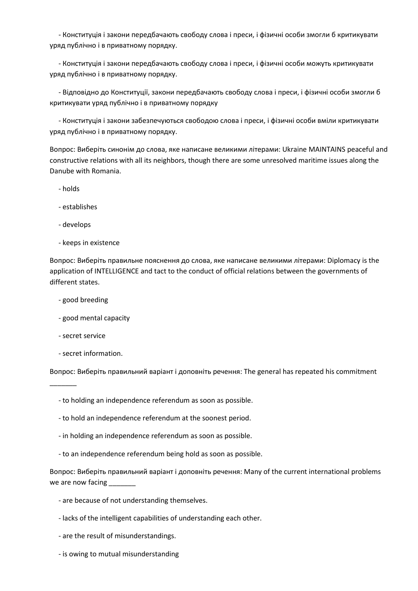- Конституція і закони передбачають свободу слова і преси, і фізичні особи змогли б критикувати уряд публічно і в приватному порядку.

 - Конституція і закони передбачають свободу слова і преси, і фізичні особи можуть критикувати уряд публічно і в приватному порядку.

 - Відповідно до Конституції, закони передбачають свободу слова і преси, і фізичні особи змогли б критикувати уряд публічно і в приватному порядку

 - Конституція і закони забезпечуються свободою слова і преси, і фізичні особи вміли критикувати уряд публічно і в приватному порядку.

Вопрос: Виберіть синонім до слова, яке написане великими літерами: Ukraine MAINTAINS peaceful and constructive relations with all its neighbors, though there are some unresolved maritime issues along the Danube with Romania.

- holds

- establishes
- develops
- keeps in existence

Вопрос: Виберіть правильне пояснення до слова, яке написане великими літерами: Diplomacy is the application of INTELLIGENCE and tact to the conduct of official relations between the governments of different states.

- good breeding
- good mental capacity
- secret service

 $\overline{\phantom{a}}$ 

- secret information.

Вопрос: Виберіть правильний варіант і доповніть речення: The general has repeated his commitment

- to holding an independence referendum as soon as possible.
- to hold an independence referendum at the soonest period.
- in holding an independence referendum as soon as possible.
- to an independence referendum being hold as soon as possible.

Вопрос: Виберіть правильний варіант і доповніть речення: Many of the current international problems we are now facing

- are because of not understanding themselves.
- lacks of the intelligent capabilities of understanding each other.
- are the result of misunderstandings.
- is owing to mutual misunderstanding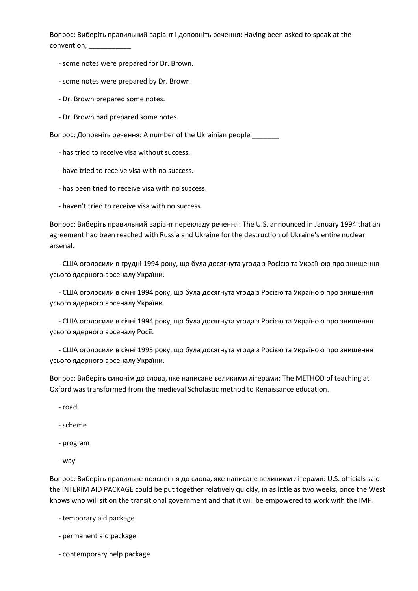Вопрос: Виберіть правильний варіант і доповніть речення: Having been asked to speak at the convention, \_\_\_\_\_\_\_\_\_\_\_

- some notes were prepared for Dr. Brown.
- some notes were prepared by Dr. Brown.
- Dr. Brown prepared some notes.
- Dr. Brown had prepared some notes.

Вопрос: Доповніть речення: A number of the Ukrainian people \_\_\_\_\_\_\_

- has tried to receive visa without success.
- have tried to receive visa with no success.
- has been tried to receive visa with no success.
- haven't tried to receive visa with no success.

Вопрос: Виберіть правильний варіант перекладу речення: The U.S. announced in January 1994 that an agreement had been reached with Russia and Ukraine for the destruction of Ukraine's entire nuclear arsenal.

 - США оголосили в грудні 1994 року, що була досягнута угода з Росією та Україною про знищення усього ядерного арсеналу України.

 - США оголосили в січні 1994 року, що була досягнута угода з Росією та Україною про знищення усього ядерного арсеналу України.

 - США оголосили в січні 1994 року, що була досягнута угода з Росією та Україною про знищення усього ядерного арсеналу Росії.

 - США оголосили в січні 1993 року, що була досягнута угода з Росією та Україною про знищення усього ядерного арсеналу України.

Вопрос: Виберіть синонім до слова, яке написане великими літерами: The METHOD of teaching at Oxford was transformed from the medieval Scholastic method to Renaissance education.

- road

- scheme

- program
- way

Вопрос: Виберіть правильне пояснення до слова, яке написане великими літерами: U.S. officials said the INTERIM AID PACKAGE could be put together relatively quickly, in as little as two weeks, once the West knows who will sit on the transitional government and that it will be empowered to work with the IMF.

- temporary aid package
- permanent aid package
- contemporary help package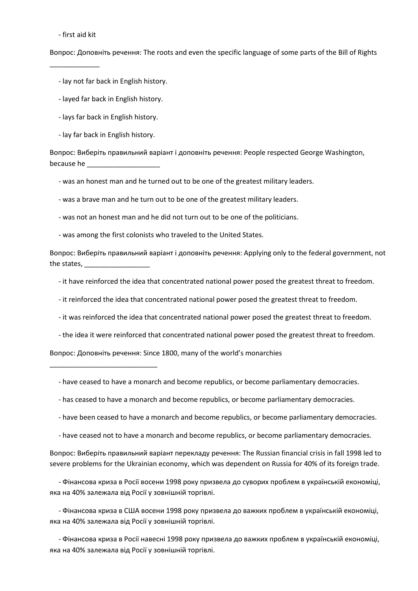- first aid kit

\_\_\_\_\_\_\_\_\_\_\_\_\_

Вопрос: Доповніть речення: The roots and even the specific language of some parts of the Bill of Rights

- lay not far back in English history.

- layed far back in English history.
- lays far back in English history.

- lay far back in English history.

\_\_\_\_\_\_\_\_\_\_\_\_\_\_\_\_\_\_\_\_\_\_\_\_\_\_\_\_

Вопрос: Виберіть правильний варіант і доповніть речення: People respected George Washington, because he

- was an honest man and he turned out to be one of the greatest military leaders.

- was a brave man and he turn out to be one of the greatest military leaders.

- was not an honest man and he did not turn out to be one of the politicians.
- was among the first colonists who traveled to the United States.

Вопрос: Виберіть правильний варіант і доповніть речення: Applying only to the federal government, not the states, \_\_\_\_\_\_

- it have reinforced the idea that concentrated national power posed the greatest threat to freedom.
- it reinforced the idea that concentrated national power posed the greatest threat to freedom.
- it was reinforced the idea that concentrated national power posed the greatest threat to freedom.
- the idea it were reinforced that concentrated national power posed the greatest threat to freedom.

Вопрос: Доповніть речення: Since 1800, many of the world's monarchies

- have ceased to have a monarch and become republics, or become parliamentary democracies.

- has ceased to have a monarch and become republics, or become parliamentary democracies.
- have been ceased to have a monarch and become republics, or become parliamentary democracies.
- have ceased not to have a monarch and become republics, or become parliamentary democracies.

Вопрос: Виберіть правильний варіант перекладу речення: The Russian financial crisis in fall 1998 led to severe problems for the Ukrainian economy, which was dependent on Russia for 40% of its foreign trade.

 - Фінансова криза в Росії восени 1998 року призвела до суворих проблем в українській економіці, яка на 40% залежала від Росії у зовнішній торгівлі.

 - Фінансова криза в США восени 1998 року призвела до важких проблем в українській економіці, яка на 40% залежала від Росії у зовнішній торгівлі.

 - Фінансова криза в Росії навесні 1998 року призвела до важких проблем в українській економіці, яка на 40% залежала від Росії у зовнішній торгівлі.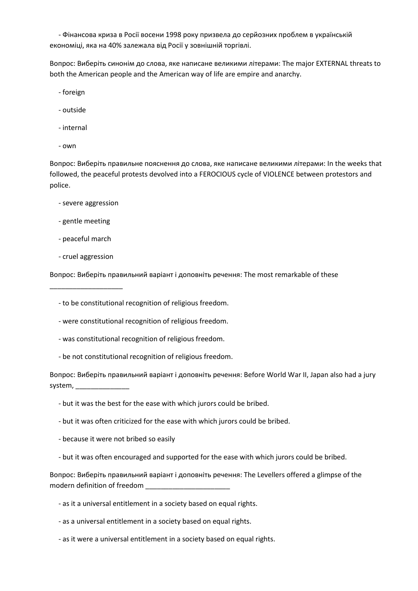- Фінансова криза в Росії восени 1998 року призвела до серйозних проблем в українській економіці, яка на 40% залежала від Росії у зовнішній торгівлі.

Вопрос: Виберіть синонім до слова, яке написане великими літерами: The major EXTERNAL threats to both the American people and the American way of life are empire and anarchy.

- foreign
- outside
- internal
- own

Вопрос: Виберіть правильне пояснення до слова, яке написане великими літерами: In the weeks that followed, the peaceful protests devolved into a FEROCIOUS cycle of VIOLENCE between protestors and police.

- severe aggression
- gentle meeting
- peaceful march
- cruel aggression

\_\_\_\_\_\_\_\_\_\_\_\_\_\_\_\_\_\_\_

Вопрос: Виберіть правильний варіант і доповніть речення: The most remarkable of these

- to be constitutional recognition of religious freedom.

- were constitutional recognition of religious freedom.
- was constitutional recognition of religious freedom.
- be not constitutional recognition of religious freedom.

Вопрос: Виберіть правильний варіант і доповніть речення: Before World War II, Japan also had a jury system, \_\_\_\_\_\_\_\_\_\_\_\_\_\_

- but it was the best for the ease with which jurors could be bribed.
- but it was often criticized for the ease with which jurors could be bribed.
- because it were not bribed so easily
- but it was often encouraged and supported for the ease with which jurors could be bribed.

Вопрос: Виберіть правильний варіант і доповніть речення: The Levellers offered a glimpse of the modern definition of freedom \_

- as it a universal entitlement in a society based on equal rights.
- as a universal entitlement in a society based on equal rights.
- as it were a universal entitlement in a society based on equal rights.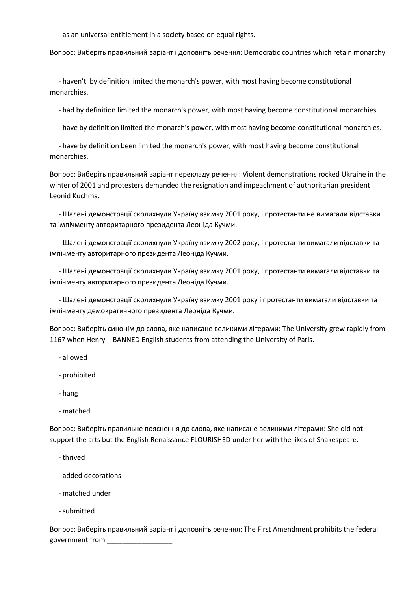- as an universal entitlement in a society based on equal rights.

Вопрос: Виберіть правильний варіант і доповніть речення: Democratic countries which retain monarchy

 - haven't by definition limited the monarch's power, with most having become constitutional monarchies.

- had by definition limited the monarch's power, with most having become constitutional monarchies.

- have by definition limited the monarch's power, with most having become constitutional monarchies.

 - have by definition been limited the monarch's power, with most having become constitutional monarchies.

Вопрос: Виберіть правильний варіант перекладу речення: Violent demonstrations rocked Ukraine in the winter of 2001 and protesters demanded the resignation and impeachment of authoritarian president Leonid Kuchma.

 - Шалені демонстрації сколихнули Україну взимку 2001 року, і протестанти не вимагали відставки та імпічменту авторитарного президента Леоніда Кучми.

 - Шалені демонстрації сколихнули Україну взимку 2002 року, і протестанти вимагали відставки та імпічменту авторитарного президента Леоніда Кучми.

 - Шалені демонстрації сколихнули Україну взимку 2001 року, і протестанти вимагали відставки та імпічменту авторитарного президента Леоніда Кучми.

 - Шалені демонстрації сколихнули Україну взимку 2001 року і протестанти вимагали відставки та імпічменту демократичного президента Леоніда Кучми.

Вопрос: Виберіть синонім до слова, яке написане великими літерами: The University grew rapidly from 1167 when Henry II BANNED English students from attending the University of Paris.

- allowed
- prohibited

\_\_\_\_\_\_\_\_\_\_\_\_\_\_

- hang
- matched

Вопрос: Виберіть правильне пояснення до слова, яке написане великими літерами: She did not support the arts but the English Renaissance FLOURISHED under her with the likes of Shakespeare.

- thrived
- added decorations
- matched under
- submitted

Вопрос: Виберіть правильний варіант і доповніть речення: The First Amendment prohibits the federal government from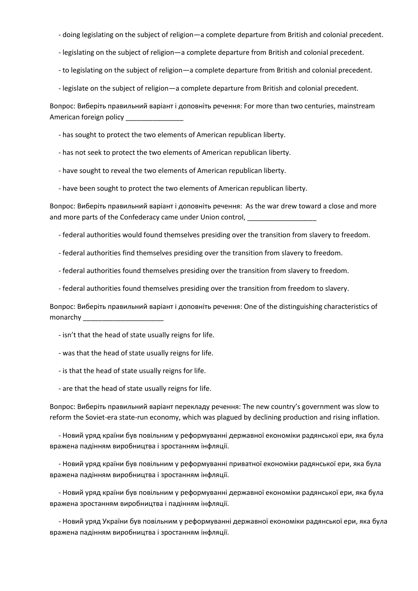- doing legislating on the subject of religion—a complete departure from British and colonial precedent.
- legislating on the subject of religion—a complete departure from British and colonial precedent.
- to legislating on the subject of religion—a complete departure from British and colonial precedent.
- legislate on the subject of religion—a complete departure from British and colonial precedent.

Вопрос: Виберіть правильний варіант і доповніть речення: For more than two centuries, mainstream American foreign policy

- has sought to protect the two elements of American republican liberty.
- has not seek to protect the two elements of American republican liberty.
- have sought to reveal the two elements of American republican liberty.
- have been sought to protect the two elements of American republican liberty.

Вопрос: Виберіть правильний варіант і доповніть речення: As the war drew toward a close and more and more parts of the Confederacy came under Union control,

- federal authorities would found themselves presiding over the transition from slavery to freedom.
- federal authorities find themselves presiding over the transition from slavery to freedom.
- federal authorities found themselves presiding over the transition from slavery to freedom.
- federal authorities found themselves presiding over the transition from freedom to slavery.

Вопрос: Виберіть правильний варіант і доповніть речення: One of the distinguishing characteristics of monarchy \_\_\_\_\_\_\_\_\_\_\_\_\_\_\_\_\_\_\_\_\_

- isn't that the head of state usually reigns for life.
- was that the head of state usually reigns for life.
- is that the head of state usually reigns for life.
- are that the head of state usually reigns for life.

Вопрос: Виберіть правильний варіант перекладу речення: The new country's government was slow to reform the Soviet-era state-run economy, which was plagued by declining production and rising inflation.

 - Новий уряд країни був повільним у реформуванні державної економіки радянської ери, яка була вражена падінням виробництва і зростанням інфляції.

 - Новий уряд країни був повільним у реформуванні приватної економіки радянської ери, яка була вражена падінням виробництва і зростанням інфляції.

 - Новий уряд країни був повільним у реформуванні державної економіки радянської ери, яка була вражена зростанням виробництва і падінням інфляції.

 - Новий уряд України був повільним у реформуванні державної економіки радянської ери, яка була вражена падінням виробництва і зростанням інфляції.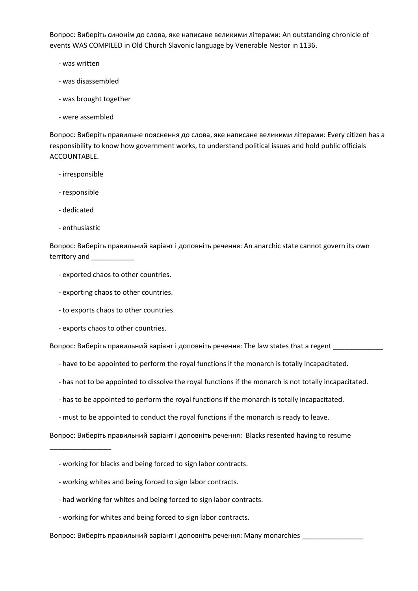Вопрос: Виберіть синонім до слова, яке написане великими літерами: An outstanding chronicle of events WAS COMPILED in Old Church Slavonic language by Venerable Nestor in 1136.

- was written
- was disassembled
- was brought together
- were assembled

Вопрос: Виберіть правильне пояснення до слова, яке написане великими літерами: Every citizen has a responsibility to know how government works, to understand political issues and hold public officials ACCOUNTABLE.

- irresponsible
- responsible
- dedicated
- enthusiastic

\_\_\_\_\_\_\_\_\_\_\_\_\_\_\_\_

Вопрос: Виберіть правильний варіант і доповніть речення: An anarchic state cannot govern its own territory and \_\_\_\_\_\_\_\_\_\_\_

- exported chaos to other countries.
- exporting chaos to other countries.
- to exports chaos to other countries.
- exports chaos to other countries.

Вопрос: Виберіть правильний варіант і доповніть речення: The law states that a regent

- have to be appointed to perform the royal functions if the monarch is totally incapacitated.
- has not to be appointed to dissolve the royal functions if the monarch is not totally incapacitated.
- has to be appointed to perform the royal functions if the monarch is totally incapacitated.
- must to be appointed to conduct the royal functions if the monarch is ready to leave.

Вопрос: Виберіть правильний варіант і доповніть речення: Blacks resented having to resume

- working for blacks and being forced to sign labor contracts.
- working whites and being forced to sign labor contracts.
- had working for whites and being forced to sign labor contracts.
- working for whites and being forced to sign labor contracts.

Вопрос: Виберіть правильний варіант і доповніть речення: Many monarchies \_\_\_\_\_\_\_\_\_\_\_\_\_\_\_\_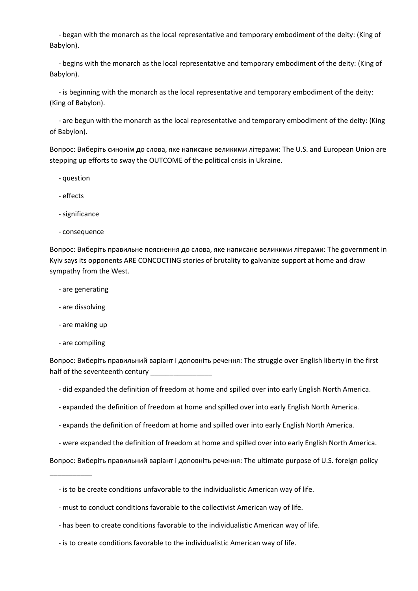- began with the monarch as the local representative and temporary embodiment of the deity: (King of Babylon).

 - begins with the monarch as the local representative and temporary embodiment of the deity: (King of Babylon).

 - is beginning with the monarch as the local representative and temporary embodiment of the deity: (King of Babylon).

 - are begun with the monarch as the local representative and temporary embodiment of the deity: (King of Babylon).

Вопрос: Виберіть синонім до слова, яке написане великими літерами: The U.S. and European Union are stepping up efforts to sway the OUTCOME of the political crisis in Ukraine.

- question
- effects
- significance
- consequence

Вопрос: Виберіть правильне пояснення до слова, яке написане великими літерами: The government in Kyiv says its opponents ARE CONCOCTING stories of brutality to galvanize support at home and draw sympathy from the West.

- are generating
- are dissolving
- are making up
- are compiling

\_\_\_\_\_\_\_\_\_\_\_

Вопрос: Виберіть правильний варіант і доповніть речення: The struggle over English liberty in the first half of the seventeenth century

- did expanded the definition of freedom at home and spilled over into early English North America.
- expanded the definition of freedom at home and spilled over into early English North America.
- expands the definition of freedom at home and spilled over into early English North America.
- were expanded the definition of freedom at home and spilled over into early English North America.

Вопрос: Виберіть правильний варіант і доповніть речення: The ultimate purpose of U.S. foreign policy

- is to be create conditions unfavorable to the individualistic American way of life.
- must to conduct conditions favorable to the collectivist American way of life.
- has been to create conditions favorable to the individualistic American way of life.
- is to create conditions favorable to the individualistic American way of life.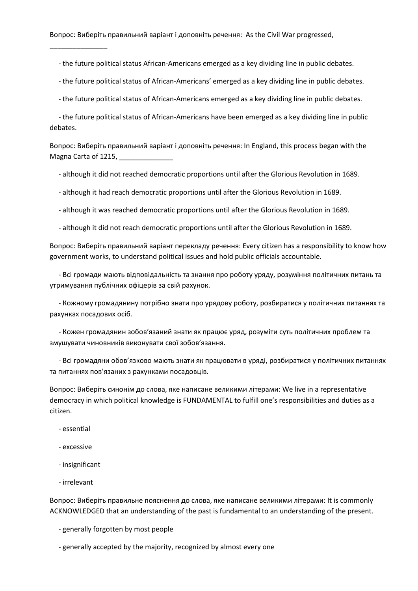Вопрос: Виберіть правильний варіант і доповніть речення: As the Civil War progressed,

- the future political status African-Americans emerged as a key dividing line in public debates.

- the future political status of African-Americans' emerged as a key dividing line in public debates.

- the future political status of African-Americans emerged as a key dividing line in public debates.

 - the future political status of African-Americans have been emerged as a key dividing line in public debates.

Вопрос: Виберіть правильний варіант і доповніть речення: In England, this process began with the Magna Carta of 1215,

- although it did not reached democratic proportions until after the Glorious Revolution in 1689.

- although it had reach democratic proportions until after the Glorious Revolution in 1689.

- although it was reached democratic proportions until after the Glorious Revolution in 1689.

- although it did not reach democratic proportions until after the Glorious Revolution in 1689.

Вопрос: Виберіть правильний варіант перекладу речення: Every citizen has a responsibility to know how government works, to understand political issues and hold public officials accountable.

 - Всі громади мають відповідальність та знання про роботу уряду, розуміння політичних питань та утримування публічних офіцерів за свій рахунок.

 - Кожному громадянину потрібно знати про урядову роботу, розбиратися у політичних питаннях та рахунках посадових осіб.

 - Кожен громадянин зобов'язаний знати як працює уряд, розуміти суть політичних проблем та змушувати чиновників виконувати свої зобов'язання.

 - Всі громадяни обов'язково мають знати як працювати в уряді, розбиратися у політичних питаннях та питаннях пов'язаних з рахунками посадовців.

Вопрос: Виберіть синонім до слова, яке написане великими літерами: We live in a representative democracy in which political knowledge is FUNDAMENTAL to fulfill one's responsibilities and duties as a citizen.

- essential

\_\_\_\_\_\_\_\_\_\_\_\_\_\_\_

- excessive
- insignificant
- irrelevant

Вопрос: Виберіть правильне пояснення до слова, яке написане великими літерами: It is commonly ACKNOWLEDGED that an understanding of the past is fundamental to an understanding of the present.

- generally forgotten by most people
- generally accepted by the majority, recognized by almost every one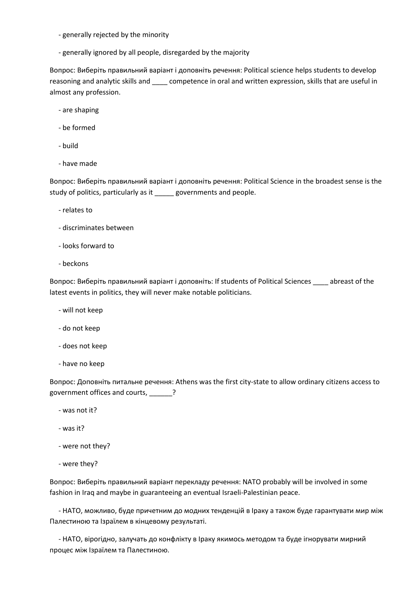- generally rejected by the minority
- generally ignored by all people, disregarded by the majority

Вопрос: Виберіть правильний варіант і доповніть речення: Political science helps students to develop reasoning and analytic skills and competence in oral and written expression, skills that are useful in almost any profession.

- are shaping
- be formed
- build
- have made

Вопрос: Виберіть правильний варіант і доповніть речення: Political Science in the broadest sense is the study of politics, particularly as it \_\_\_\_\_ governments and people.

- relates to
- discriminates between
- looks forward to
- beckons

Вопрос: Виберіть правильний варіант і доповніть: If students of Political Sciences \_\_\_\_ abreast of the latest events in politics, they will never make notable politicians.

- will not keep
- do not keep
- does not keep
- have no keep

Вопрос: Доповніть питальне речення: Athens was the first city-state to allow ordinary citizens access to government offices and courts, \_\_\_\_\_\_?

- was not it?
- was it?
- were not they?
- were they?

Вопрос: Виберіть правильний варіант перекладу речення: NATO probably will be involved in some fashion in Iraq and maybe in guaranteeing an eventual Israeli-Palestinian peace.

 - НАТО, можливо, буде причетним до модних тенденцій в Іраку а також буде гарантувати мир між Палестиною та Ізраїлем в кінцевому результаті.

 - НАТО, вірогідно, залучать до конфлікту в Іраку якимось методом та буде ігнорувати мирний процес між Ізраїлем та Палестиною.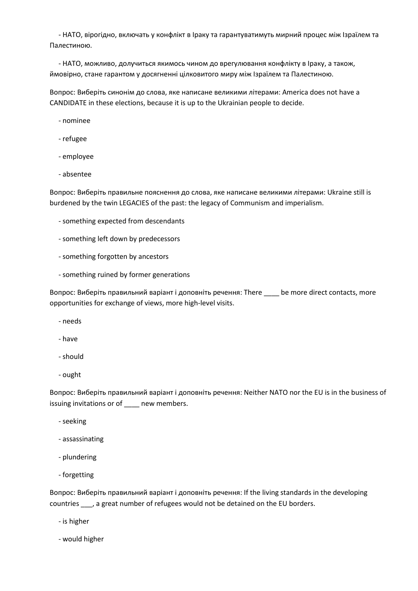- НАТО, вірогідно, включать у конфлікт в Іраку та гарантуватимуть мирний процес між Ізраїлем та Палестиною.

 - НАТО, можливо, долучиться якимось чином до врегулювання конфлікту в Іраку, а також, ймовірно, стане гарантом у досягненні цілковитого миру між Ізраїлем та Палестиною.

Вопрос: Виберіть синонім до слова, яке написане великими літерами: America does not have a CANDIDATE in these elections, because it is up to the Ukrainian people to decide.

- nominee

- refugee
- employee
- absentee

Вопрос: Виберіть правильне пояснення до слова, яке написане великими літерами: Ukraine still is burdened by the twin LEGACIES of the past: the legacy of Communism and imperialism.

- something expected from descendants
- something left down by predecessors
- something forgotten by ancestors
- something ruined by former generations

Вопрос: Виберіть правильний варіант і доповніть речення: There \_\_\_\_ be more direct contacts, more opportunities for exchange of views, more high-level visits.

- needs
- have
- should
- ought

Вопрос: Виберіть правильний варіант і доповніть речення: Neither NATO nor the EU is in the business of issuing invitations or of even members.

- seeking
- assassinating
- plundering
- forgetting

Вопрос: Виберіть правильний варіант і доповніть речення: If the living standards in the developing countries \_\_\_, a great number of refugees would not be detained on the EU borders.

- is higher
- would higher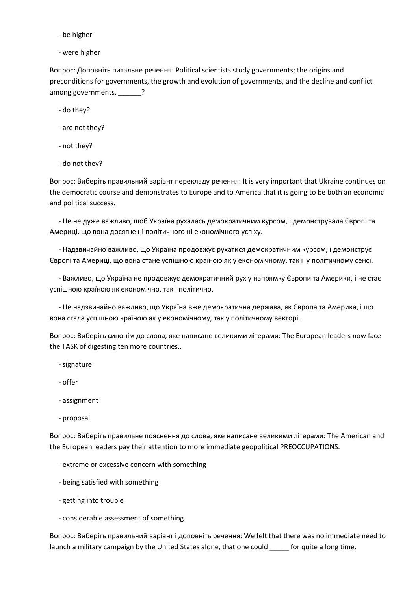- be higher
- were higher

Вопрос: Доповніть питальне речення: Political scientists study governments; the origins and preconditions for governments, the growth and evolution of governments, and the decline and conflict among governments, \_\_\_\_\_\_?

- do they?
- are not they?
- not they?
- do not they?

Вопрос: Виберіть правильний варіант перекладу речення: It is very important that Ukraine continues on the democratic course and demonstrates to Europe and to America that it is going to be both an economic and political success.

 - Це не дуже важливо, щоб Україна рухалась демократичним курсом, і демонструвала Європі та Америці, що вона досягне ні політичного ні економічного успіху.

 - Надзвичайно важливо, що Україна продовжує рухатися демократичним курсом, і демонструє Європі та Америці, що вона стане успішною країною як у економічному, так і у політичному сенсі.

 - Важливо, що Україна не продовжує демократичний рух у напрямку Європи та Америки, і не стає успішною країною як економічно, так і політично.

 - Це надзвичайно важливо, що Україна вже демократична держава, як Європа та Америка, і що вона стала успішною країною як у економічному, так у політичному векторі.

Вопрос: Виберіть синонім до слова, яке написане великими літерами: The European leaders now face the TASK of digesting ten more countries..

- signature
- offer
- assignment
- proposal

Вопрос: Виберіть правильне пояснення до слова, яке написане великими літерами: The American and the European leaders pay their attention to more immediate geopolitical PREOCCUPATIONS.

- extreme or excessive concern with something
- being satisfied with something
- getting into trouble
- considerable assessment of something

Вопрос: Виберіть правильний варіант і доповніть речення: We felt that there was no immediate need to launch a military campaign by the United States alone, that one could for quite a long time.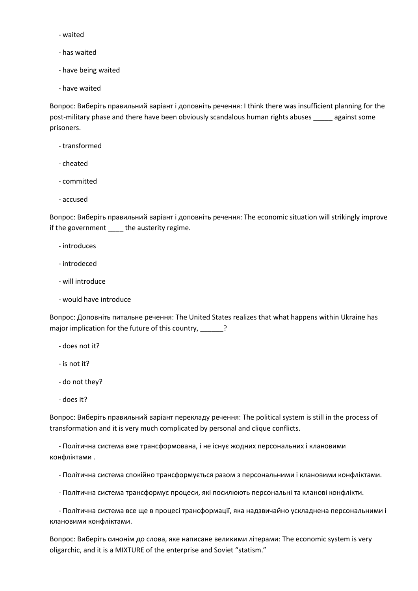- waited
- has waited
- have being waited
- have waited

Вопрос: Виберіть правильний варіант і доповніть речення: I think there was insufficient planning for the post-military phase and there have been obviously scandalous human rights abuses \_\_\_\_\_ against some prisoners.

- transformed
- cheated
- committed
- accused

Вопрос: Виберіть правильний варіант і доповніть речення: The economic situation will strikingly improve if the government \_\_\_\_ the austerity regime.

- introduces
- introdeced
- will introduce
- would have introduce

Вопрос: Доповніть питальне речення: The United States realizes that what happens within Ukraine has major implication for the future of this country, \_\_\_\_\_\_?

- does not it?
- is not it?
- do not they?
- does it?

Вопрос: Виберіть правильний варіант перекладу речення: The political system is still in the process of transformation and it is very much complicated by personal and clique conflicts.

 - Політична система вже трансформована, і не існує жодних персональних і клановими конфліктами .

- Політична система спокійно трансформується разом з персональними і клановими конфліктами.

- Політична система трансформує процеси, які посилюють персональні та кланові конфлікти.

 - Політична система все ще в процесі трансформації, яка надзвичайно ускладнена персональними і клановими конфліктами.

Вопрос: Виберіть синонім до слова, яке написане великими літерами: The economic system is very oligarchic, and it is a MIXTURE of the enterprise and Soviet "statism."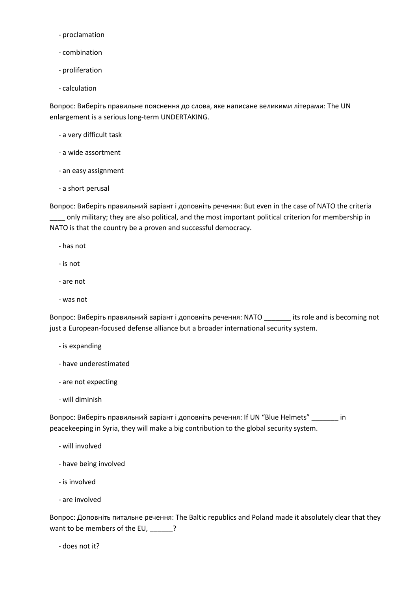- proclamation
- combination
- proliferation
- calculation

Вопрос: Виберіть правильне пояснення до слова, яке написане великими літерами: The UN enlargement is a serious long-term UNDERTAKING.

- a very difficult task
- a wide assortment
- an easy assignment
- a short perusal

Вопрос: Виберіть правильний варіант і доповніть речення: But even in the case of NATO the criteria \_\_\_\_ only military; they are also political, and the most important political criterion for membership in NATO is that the country be a proven and successful democracy.

- has not
- is not
- are not
- was not

Вопрос: Виберіть правильний варіант і доповніть речення: NATO \_\_\_\_\_\_\_ its role and is becoming not just a European-focused defense alliance but a broader international security system.

- is expanding
- have underestimated
- are not expecting
- will diminish

Вопрос: Виберіть правильний варіант і доповніть речення: If UN "Blue Helmets" \_\_\_\_\_\_\_ in peacekeeping in Syria, they will make a big contribution to the global security system.

- will involved
- have being involved
- is involved
- are involved

Вопрос: Доповніть питальне речення: The Baltic republics and Poland made it absolutely clear that they want to be members of the EU, \_\_\_\_\_\_?

- does not it?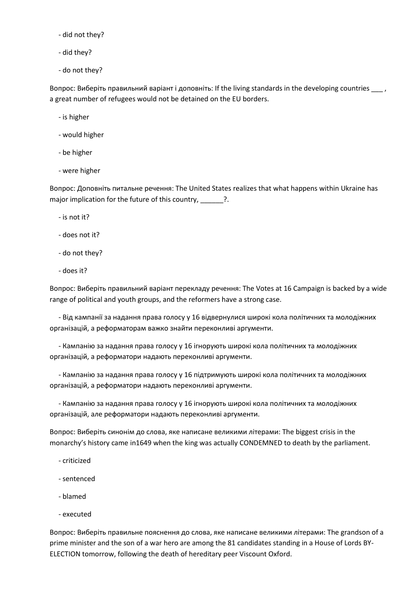- did not they?
- did they?
- do not they?

Вопрос: Виберіть правильний варіант і доповніть: If the living standards in the developing countries \_\_\_ , a great number of refugees would not be detained on the EU borders.

- is higher
- would higher
- be higher
- were higher

Вопрос: Доповніть питальне речення: The United States realizes that what happens within Ukraine has major implication for the future of this country, \_\_\_\_\_?.

- is not it?
- does not it?
- do not they?
- does it?

Вопрос: Виберіть правильний варіант перекладу речення: The Votes at 16 Campaign is backed by a wide range of political and youth groups, and the reformers have a strong case.

 - Від кампанії за надання права голосу у 16 відвернулися широкі кола політичних та молодіжних організацій, а реформаторам важко знайти переконливі аргументи.

 - Кампанію за надання права голосу у 16 ігнорують широкі кола політичних та молодіжних організацій, а реформатори надають переконливі аргументи.

 - Кампанію за надання права голосу у 16 підтримують широкі кола політичних та молодіжних організацій, а реформатори надають переконливі аргументи.

 - Кампанію за надання права голосу у 16 ігнорують широкі кола політичних та молодіжних організацій, але реформатори надають переконливі аргументи.

Вопрос: Виберіть синонім до слова, яке написане великими літерами: The biggest crisis in the monarchy's history came in1649 when the king was actually CONDEMNED to death by the parliament.

- criticized
- sentenced
- blamed
- executed

Вопрос: Виберіть правильне пояснення до слова, яке написане великими літерами: The grandson of a prime minister and the son of a war hero are among the 81 candidates standing in a House of Lords BY-ELECTION tomorrow, following the death of hereditary peer Viscount Oxford.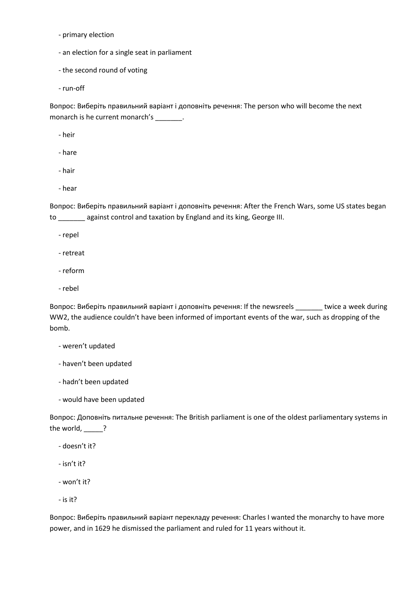- primary election

- an election for a single seat in parliament
- the second round of voting
- run-off

Вопрос: Виберіть правильний варіант і доповніть речення: The person who will become the next monarch is he current monarch's \_\_\_\_\_\_\_.

- heir
- hare
- hair
- hear

Вопрос: Виберіть правильний варіант і доповніть речення: After the French Wars, some US states began to \_\_\_\_\_\_\_ against control and taxation by England and its king, George III.

- repel
- retreat
- reform
- rebel

Вопрос: Виберіть правильний варіант і доповніть речення: If the newsreels \_\_\_\_\_\_\_ twice a week during WW2, the audience couldn't have been informed of important events of the war, such as dropping of the bomb.

- weren't updated
- haven't been updated
- hadn't been updated
- would have been updated

Вопрос: Доповніть питальне речення: The British parliament is one of the oldest parliamentary systems in the world, ?

- doesn't it?
- isn't it?
- won't it?
- is it?

Вопрос: Виберіть правильний варіант перекладу речення: Charles I wanted the monarchy to have more power, and in 1629 he dismissed the parliament and ruled for 11 years without it.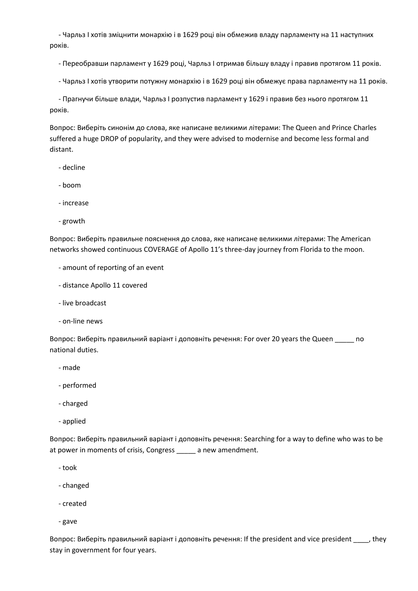- Чарльз І хотів зміцнити монархію і в 1629 році він обмежив владу парламенту на 11 наступних років.

- Переобравши парламент у 1629 році, Чарльз І отримав більшу владу і правив протягом 11 років.

- Чарльз І хотів утворити потужну монархію і в 1629 році він обмежує права парламенту на 11 років.

 - Прагнучи більше влади, Чарльз І розпустив парламент у 1629 і правив без нього протягом 11 років.

Вопрос: Виберіть синонім до слова, яке написане великими літерами: The Queen and Prince Charles suffered a huge DROP of popularity, and they were advised to modernise and become less formal and distant.

- decline
- boom
- increase
- growth

Вопрос: Виберіть правильне пояснення до слова, яке написане великими літерами: The American networks showed continuous COVERAGE of Apollo 11's three-day journey from Florida to the moon.

- amount of reporting of an event
- distance Apollo 11 covered
- live broadcast
- on-line news

Вопрос: Виберіть правильний варіант і доповніть речення: For over 20 years the Queen \_\_\_\_\_ no national duties.

- made
- performed
- charged
- applied

Вопрос: Виберіть правильний варіант і доповніть речення: Searching for a way to define who was to be at power in moments of crisis, Congress \_\_\_\_\_ a new amendment.

- took
- changed
- created
- gave

Вопрос: Виберіть правильний варіант і доповніть речення: If the president and vice president \_\_\_\_, they stay in government for four years.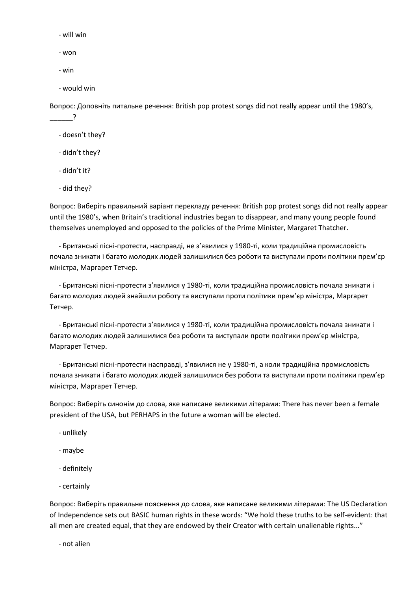- will win

- won

- win

 $\overline{?}$ 

- would win

Вопрос: Доповніть питальне речення: British pop protest songs did not really appear until the 1980's,

- doesn't they?
- didn't they?
- didn't it?
- did they?

Вопрос: Виберіть правильний варіант перекладу речення: British pop protest songs did not really appear until the 1980's, when Britain's traditional industries began to disappear, and many young people found themselves unemployed and opposed to the policies of the Prime Minister, Margaret Thatcher.

 - Британські пісні-протести, насправді, не з'явилися у 1980-ті, коли традиційна промисловість почала зникати і багато молодих людей залишилися без роботи та виступали проти політики прем'єр міністра, Маргарет Тетчер.

 - Британські пісні-протести з'явилися у 1980-ті, коли традиційна промисловість почала зникати і багато молодих людей знайшли роботу та виступали проти політики прем'єр міністра, Маргарет Тетчер.

 - Британські пісні-протести з'явилися у 1980-ті, коли традиційна промисловість почала зникати і багато молодих людей залишилися без роботи та виступали проти політики прем'єр міністра, Маргарет Тетчер.

 - Британські пісні-протести насправді, з'явилися не у 1980-ті, а коли традиційна промисловість почала зникати і багато молодих людей залишилися без роботи та виступали проти політики прем'єр міністра, Маргарет Тетчер.

Вопрос: Виберіть синонім до слова, яке написане великими літерами: There has never been a female president of the USA, but PERHAPS in the future a woman will be elected.

- unlikely
- maybe
- definitely
- certainly

Вопрос: Виберіть правильне пояснення до слова, яке написане великими літерами: The US Declaration of Independence sets out BASIC human rights in these words: "We hold these truths to be self-evident: that all men are created equal, that they are endowed by their Creator with certain unalienable rights..."

- not alien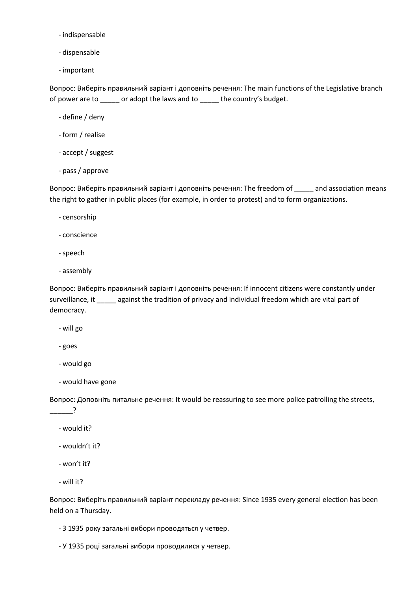- indispensable
- dispensable
- important

Вопрос: Виберіть правильний варіант і доповніть речення: The main functions of the Legislative branch of power are to \_\_\_\_\_ or adopt the laws and to \_\_\_\_\_ the country's budget.

- define / deny
- form / realise
- accept / suggest
- pass / approve

Вопрос: Виберіть правильний варіант і доповніть речення: The freedom of \_\_\_\_\_ and association means the right to gather in public places (for example, in order to protest) and to form organizations.

- censorship
- conscience
- speech
- assembly

Вопрос: Виберіть правильний варіант і доповніть речення: If innocent citizens were constantly under surveillance, it \_\_\_\_\_ against the tradition of privacy and individual freedom which are vital part of democracy.

- will go
- goes
- would go
- would have gone

Вопрос: Доповніть питальне речення: It would be reassuring to see more police patrolling the streets,

- $\overline{\phantom{a}}$ 
	- would it?
	- wouldn't it?
	- won't it?
	- will it?

Вопрос: Виберіть правильний варіант перекладу речення: Since 1935 every general election has been held on a Thursday.

- З 1935 року загальні вибори проводяться у четвер.

- У 1935 році загальні вибори проводилися у четвер.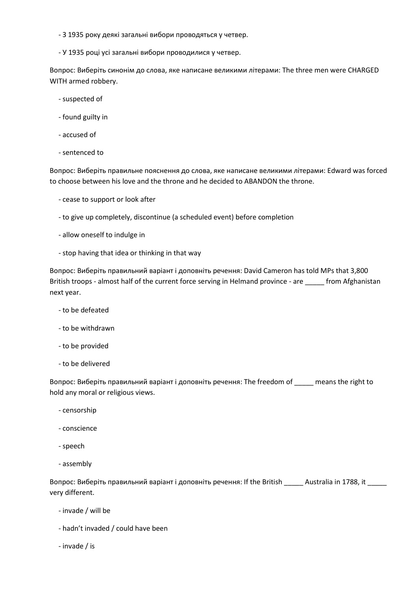- З 1935 року деякі загальні вибори проводяться у четвер.

- У 1935 році усі загальні вибори проводилися у четвер.

Вопрос: Виберіть синонім до слова, яке написане великими літерами: The three men were CHARGED WITH armed robbery.

- suspected of
- found guilty in
- accused of
- sentenced to

Вопрос: Виберіть правильне пояснення до слова, яке написане великими літерами: Edward was forced to choose between his love and the throne and he decided to ABANDON the throne.

- cease to support or look after
- to give up completely, discontinue (a scheduled event) before completion
- allow oneself to indulge in
- stop having that idea or thinking in that way

Вопрос: Виберіть правильний варіант і доповніть речення: David Cameron has told MPs that 3,800 British troops - almost half of the current force serving in Helmand province - are \_\_\_\_\_ from Afghanistan next year.

- to be defeated
- to be withdrawn
- to be provided
- to be delivered

Вопрос: Виберіть правильний варіант і доповніть речення: The freedom of \_\_\_\_\_ means the right to hold any moral or religious views.

- censorship
- conscience
- speech
- assembly

Вопрос: Виберіть правильний варіант і доповніть речення: If the British Australia in 1788, it very different.

- invade / will be
- hadn't invaded / could have been
- invade / is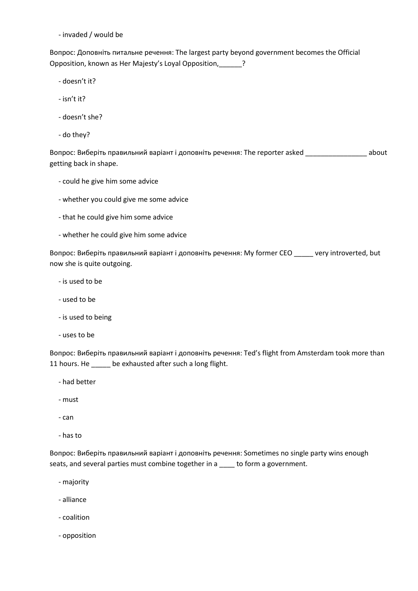- invaded / would be

Вопрос: Доповніть питальне речення: The largest party beyond government becomes the Official Opposition, known as Her Majesty's Loyal Opposition,\_\_\_\_\_\_?

- doesn't it?
- isn't it?
- doesn't she?
- do they?

Вопрос: Виберіть правильний варіант і доповніть речення: The reporter asked \_\_\_\_\_\_\_\_\_\_\_\_\_\_\_\_ about getting back in shape.

- could he give him some advice
- whether you could give me some advice
- that he could give him some advice
- whether he could give him some advice

Вопрос: Виберіть правильний варіант і доповніть речення: My former CEO \_\_\_\_\_ very introverted, but now she is quite outgoing.

- is used to be
- used to be
- is used to being
- uses to be

Вопрос: Виберіть правильний варіант і доповніть речення: Ted's flight from Amsterdam took more than 11 hours. He \_\_\_\_\_ be exhausted after such a long flight.

- had better
- must
- can
- has to

Вопрос: Виберіть правильний варіант і доповніть речення: Sometimes no single party wins enough seats, and several parties must combine together in a \_\_\_\_ to form a government.

- majority
- alliance
- coalition
- opposition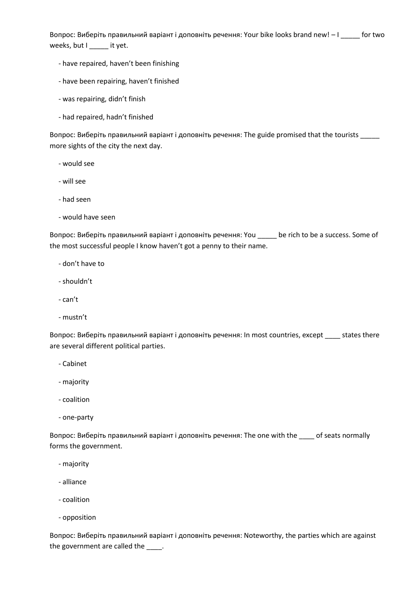Вопрос: Виберіть правильний варіант і доповніть речення: Your bike looks brand new!  $-1$  \_\_\_\_\_ for two weeks, but I \_\_\_\_\_ it yet.

- have repaired, haven't been finishing
- have been repairing, haven't finished
- was repairing, didn't finish
- had repaired, hadn't finished

Вопрос: Виберіть правильний варіант і доповніть речення: The guide promised that the tourists \_\_\_\_\_ more sights of the city the next day.

- would see
- will see
- had seen
- would have seen

Вопрос: Виберіть правильний варіант і доповніть речення: You \_\_\_\_\_ be rich to be a success. Some of the most successful people I know haven't got a penny to their name.

- don't have to
- shouldn't
- can't
- mustn't

Вопрос: Виберіть правильний варіант і доповніть речення: In most countries, except \_\_\_\_ states there are several different political parties.

- Cabinet
- majority
- coalition
- one-party

Вопрос: Виберіть правильний варіант і доповніть речення: The one with the \_\_\_\_ of seats normally forms the government.

- majority
- alliance
- coalition
- opposition

Вопрос: Виберіть правильний варіант і доповніть речення: Noteworthy, the parties which are against the government are called the \_\_\_\_.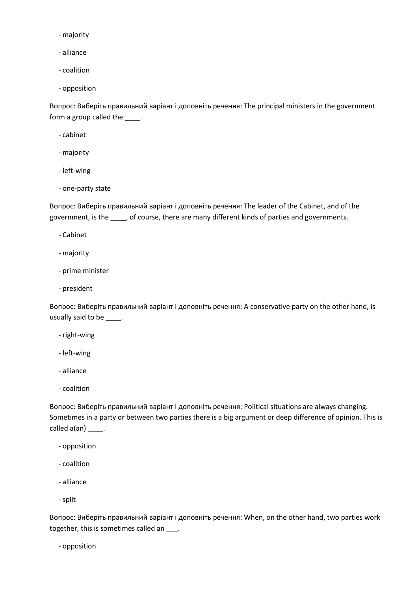- majority

- alliance

- coalition

- opposition

Вопрос: Виберіть правильний варіант і доповніть речення: The principal ministers in the government form a group called the \_\_\_\_\_.

- cabinet

- majority
- left-wing
- one-party state

Вопрос: Виберіть правильний варіант і доповніть речення: The leader of the Cabinet, and of the government, is the \_\_\_\_, of course, there are many different kinds of parties and governments.

- Cabinet
- majority
- prime minister
- president

Вопрос: Виберіть правильний варіант і доповніть речення: A conservative party on the other hand, is usually said to be \_\_\_\_\_.

- right-wing
- left-wing
- alliance
- coalition

Вопрос: Виберіть правильний варіант і доповніть речення: Political situations are always changing. Sometimes in a party or between two parties there is a big argument or deep difference of opinion. This is called a(an) \_\_\_\_\_.

- opposition
- coalition
- alliance
- split

Вопрос: Виберіть правильний варіант і доповніть речення: When, on the other hand, two parties work together, this is sometimes called an \_\_\_.

- opposition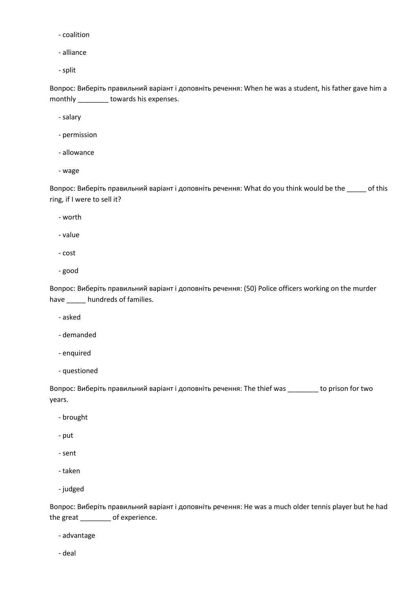- coalition

- alliance

- split

Вопрос: Виберіть правильний варіант і доповніть речення: When he was a student, his father gave him a monthly \_\_\_\_\_\_\_\_ towards his expenses.

- salary

- permission
- allowance
- wage

Вопрос: Виберіть правильний варіант і доповніть речення: What do you think would be the \_\_\_\_\_ of this ring, if I were to sell it?

- worth

- value

- cost
- good

Вопрос: Виберіть правильний варіант і доповніть речення: (50) Police officers working on the murder have \_\_\_\_\_ hundreds of families.

- asked

- demanded
- enquired
- questioned

Вопрос: Виберіть правильний варіант і доповніть речення: The thief was \_\_\_\_\_\_\_\_ to prison for two years.

- brought
- put
- sent
- taken
- judged

Вопрос: Виберіть правильний варіант і доповніть речення: He was a much older tennis player but he had the great \_\_\_\_\_\_\_\_ of experience.

- advantage

- deal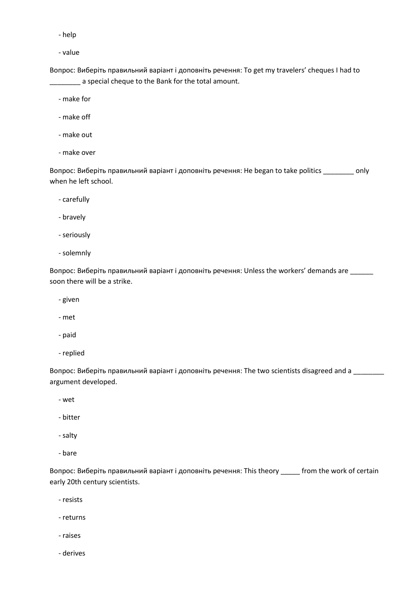- help

- value

Вопрос: Виберіть правильний варіант і доповніть речення: To get my travelers' cheques I had to a special cheque to the Bank for the total amount.

- make for

- make off

- make out

- make over

Вопрос: Виберіть правильний варіант і доповніть речення: He began to take politics \_\_\_\_\_\_\_\_ only when he left school.

- carefully

- bravely

- seriously

- solemnly

Вопрос: Виберіть правильний варіант і доповніть речення: Unless the workers' demands are \_\_\_\_\_\_ soon there will be a strike.

- given

- met

- paid

- replied

Вопрос: Виберіть правильний варіант і доповніть речення: The two scientists disagreed and a \_\_\_\_\_\_\_\_ argument developed.

- wet

- bitter

- salty

- bare

Вопрос: Виберіть правильний варіант і доповніть речення: This theory \_\_\_\_\_ from the work of certain early 20th century scientists.

- resists

- returns

- raises

- derives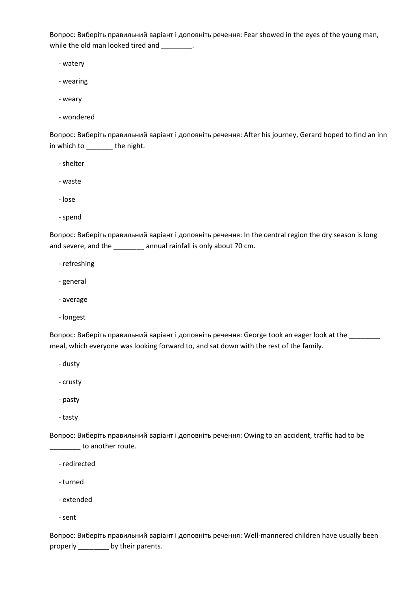Вопрос: Виберіть правильний варіант і доповніть речення: Fear showed in the eyes of the young man, while the old man looked tired and \_\_\_\_\_\_\_.

- watery

- wearing

- weary

- wondered

Вопрос: Виберіть правильний варіант і доповніть речення: After his journey, Gerard hoped to find an inn in which to \_\_\_\_\_\_\_ the night.

- shelter

- waste

- lose

- spend

Вопрос: Виберіть правильний варіант і доповніть речення: In the central region the dry season is long and severe, and the \_\_\_\_\_\_\_\_ annual rainfall is only about 70 cm.

- refreshing

- general

- average

- longest

Вопрос: Виберіть правильний варіант і доповніть речення: George took an eager look at the \_\_\_\_\_\_\_\_ meal, which everyone was looking forward to, and sat down with the rest of the family.

- dusty

- crusty

- pasty

- tasty

Вопрос: Виберіть правильний варіант і доповніть речення: Owing to an accident, traffic had to be \_\_\_\_\_\_\_\_ to another route.

- redirected

- turned

- extended

- sent

Вопрос: Виберіть правильний варіант і доповніть речення: Well-mannered children have usually been properly \_\_\_\_\_\_\_\_\_ by their parents.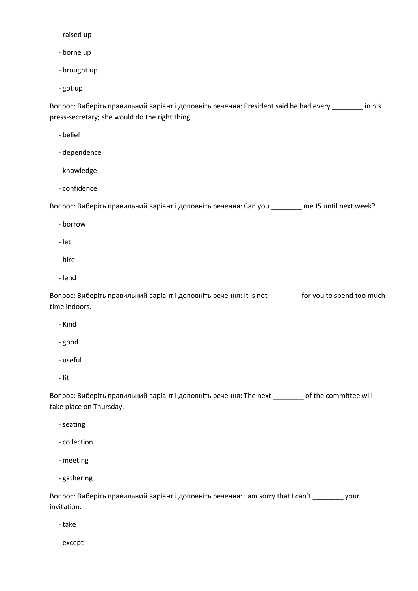- raised up
- borne up
- brought up
- got up

Вопрос: Виберіть правильний варіант і доповніть речення: President said he had every \_\_\_\_\_\_\_\_ in his press-secretary; she would do the right thing.

- belief
- dependence
- knowledge
- confidence

Вопрос: Виберіть правильний варіант і доповніть речення: Can you \_\_\_\_\_\_\_\_ me Ј5 until next week?

- borrow
- let
- hire
- lend

Вопрос: Виберіть правильний варіант і доповніть речення: It is not \_\_\_\_\_\_\_\_ for you to spend too much time indoors.

- Kind
- good
- useful
- fit

Вопрос: Виберіть правильний варіант і доповніть речення: The next \_\_\_\_\_\_\_\_ of the committee will take place on Thursday.

- seating
- collection
- meeting
- gathering

Вопрос: Виберіть правильний варіант і доповніть речення: I am sorry that I can't \_\_\_\_\_\_\_\_ your invitation.

- take

- except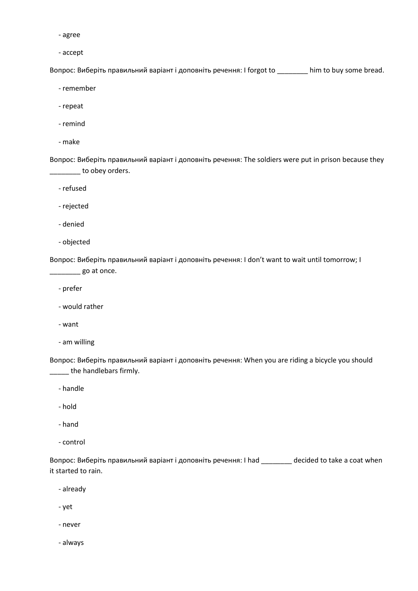- agree

- accept

Вопрос: Виберіть правильний варіант і доповніть речення: I forgot to \_\_\_\_\_\_\_\_ him to buy some bread.

- remember

- repeat

- remind

- make

Вопрос: Виберіть правильний варіант і доповніть речення: The soldiers were put in prison because they \_\_\_\_\_\_\_\_ to obey orders.

- refused

- rejected

- denied

- objected

Вопрос: Виберіть правильний варіант і доповніть речення: I don't want to wait until tomorrow; I  $\frac{1}{\sqrt{2}}$  go at once.

- prefer

- would rather

- want

- am willing

Вопрос: Виберіть правильний варіант і доповніть речення: When you are riding a bicycle you should **way** the handlebars firmly.

- handle

- hold

- hand

- control

Вопрос: Виберіть правильний варіант і доповніть речення: I had \_\_\_\_\_\_\_\_ decided to take a coat when it started to rain.

- already

- yet

- never

- always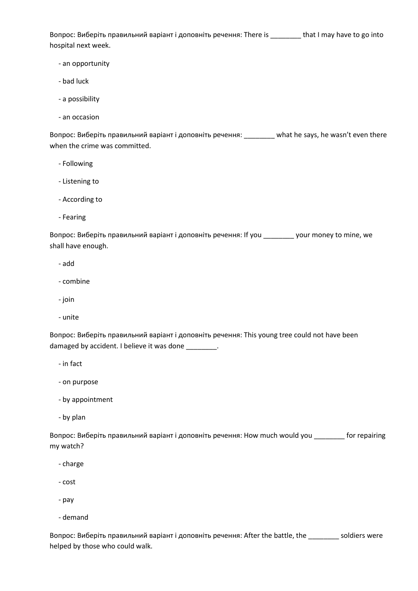Вопрос: Виберіть правильний варіант і доповніть речення: There is \_\_\_\_\_\_\_\_ that I may have to go into hospital next week.

- an opportunity
- bad luck
- a possibility
- an occasion

Вопрос: Виберіть правильний варіант і доповніть речення: \_\_\_\_\_\_\_\_ what he says, he wasn't even there when the crime was committed.

- Following
- Listening to
- According to
- Fearing

Вопрос: Виберіть правильний варіант і доповніть речення: If you \_\_\_\_\_\_\_\_ your money to mine, we shall have enough.

- add
- combine
- join
- unite

Вопрос: Виберіть правильний варіант і доповніть речення: This young tree could not have been damaged by accident. I believe it was done \_\_\_\_\_\_\_\_.

- in fact
- on purpose
- by appointment
- by plan

Вопрос: Виберіть правильний варіант і доповніть речення: How much would you \_\_\_\_\_\_\_\_ for repairing my watch?

- charge
- cost
- pay
- demand

Вопрос: Виберіть правильний варіант і доповніть речення: After the battle, the \_\_\_\_\_\_\_\_ soldiers were helped by those who could walk.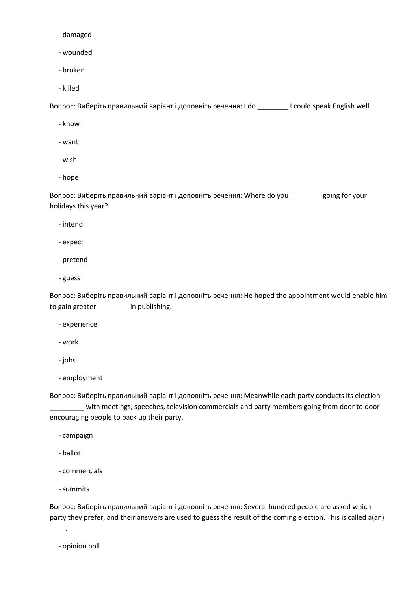- damaged
- wounded
- broken
- killed

Вопрос: Виберіть правильний варіант і доповніть речення: I do \_\_\_\_\_\_\_\_ I could speak English well.

- know
- want
- wish
- hope

Вопрос: Виберіть правильний варіант і доповніть речення: Where do you \_\_\_\_\_\_\_\_ going for your holidays this year?

- intend
- expect
- pretend
- guess

Вопрос: Виберіть правильний варіант і доповніть речення: He hoped the appointment would enable him to gain greater \_\_\_\_\_\_\_\_ in publishing.

- experience
- work
- jobs
- employment

Вопрос: Виберіть правильний варіант і доповніть речення: Meanwhile each party conducts its election \_\_\_\_\_\_\_\_\_ with meetings, speeches, television commercials and party members going from door to door encouraging people to back up their party.

- campaign
- ballot
- commercials
- summits

\_\_\_\_.

Вопрос: Виберіть правильний варіант і доповніть речення: Several hundred people are asked which party they prefer, and their answers are used to guess the result of the coming election. This is called a(an)

- opinion poll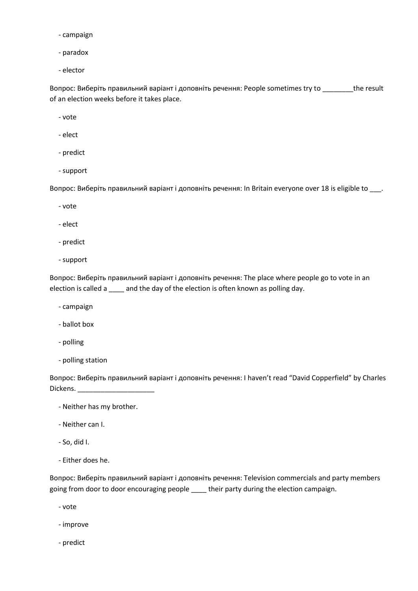- campaign
- paradox
- elector

Вопрос: Виберіть правильний варіант і доповніть речення: People sometimes try to \_\_\_\_\_\_\_\_the result of an election weeks before it takes place.

- vote

- elect
- predict
- support

Вопрос: Виберіть правильний варіант і доповніть речення: In Britain everyone over 18 is eligible to \_\_\_.

- vote
- elect
- predict
- support

Вопрос: Виберіть правильний варіант і доповніть речення: The place where people go to vote in an election is called a \_\_\_\_ and the day of the election is often known as polling day.

- campaign
- ballot box
- polling
- polling station

Вопрос: Виберіть правильний варіант і доповніть речення: I haven't read "David Copperfield" by Charles Dickens.

- Neither has my brother.
- Neither can I.
- So, did I.
- Either does he.

Вопрос: Виберіть правильний варіант і доповніть речення: Television commercials and party members going from door to door encouraging people \_\_\_\_ their party during the election campaign.

- vote
- improve
- predict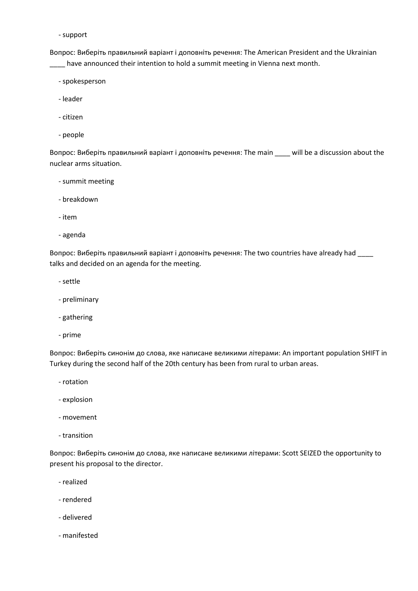- support

Вопрос: Виберіть правильний варіант і доповніть речення: The American President and the Ukrainian \_\_\_\_ have announced their intention to hold a summit meeting in Vienna next month.

- spokesperson
- leader
- citizen
- people

Вопрос: Виберіть правильний варіант і доповніть речення: The main \_\_\_\_ will be a discussion about the nuclear arms situation.

- summit meeting
- breakdown
- item
- agenda

Вопрос: Виберіть правильний варіант і доповніть речення: The two countries have already had \_\_\_\_ talks and decided on an agenda for the meeting.

- settle
- preliminary
- gathering
- prime

Вопрос: Виберіть синонім до слова, яке написане великими літерами: An important population SHIFT in Turkey during the second half of the 20th century has been from rural to urban areas.

- rotation
- explosion
- movement
- transition

Вопрос: Виберіть синонім до слова, яке написане великими літерами: Scott SEIZED the opportunity to present his proposal to the director.

- realized
- rendered
- delivered
- manifested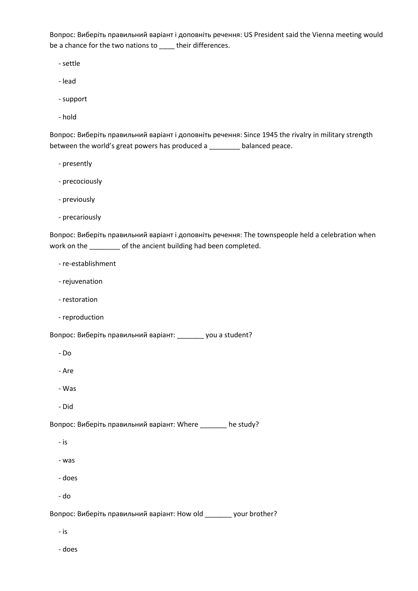Вопрос: Виберіть правильний варіант і доповніть речення: US President said the Vienna meeting would be a chance for the two nations to \_\_\_\_ their differences.

- settle

- lead
- support
- hold

Вопрос: Виберіть правильний варіант і доповніть речення: Since 1945 the rivalry in military strength between the world's great powers has produced a \_\_\_\_\_\_\_\_ balanced peace.

- presently
- precociously
- previously
- precariously

Вопрос: Виберіть правильний варіант і доповніть речення: The townspeople held a celebration when work on the \_\_\_\_\_\_\_\_ of the ancient building had been completed.

- re-establishment
- rejuvenation
- restoration
- reproduction

Вопрос: Виберіть правильний варіант: \_\_\_\_\_\_\_ you a student?

- Do
- Are
- Was
- Did

Вопрос: Виберіть правильний варіант: Where \_\_\_\_\_\_\_ he study?

- is
- was
- does
- do

Вопрос: Виберіть правильний варіант: How old \_\_\_\_\_\_\_ your brother?

- is
- does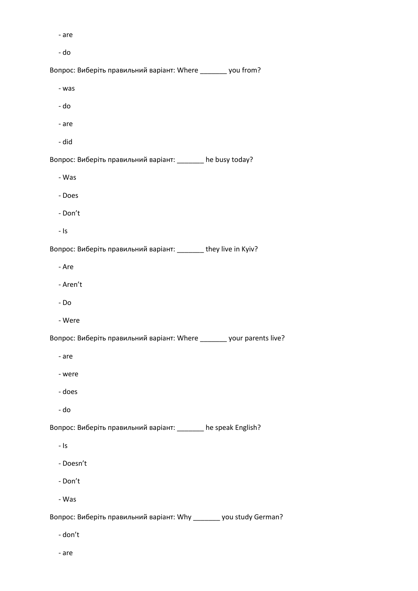- are

- do

Вопрос: Виберіть правильний варіант: Where \_\_\_\_\_\_\_ you from?

- was
- do
- are
- did

Вопрос: Виберіть правильний варіант: \_\_\_\_\_\_\_ he busy today?

- Was
- Does
- Don't
- Is

Вопрос: Виберіть правильний варіант: \_\_\_\_\_\_\_ they live in Kyiv?

- Are

- Aren't
- Do
- Were

Вопрос: Виберіть правильний варіант: Where \_\_\_\_\_\_\_ your parents live?

- are
- were
- does
- do

Вопрос: Виберіть правильний варіант: \_\_\_\_\_\_\_ he speak English?

- Is
- Doesn't
- Don't
- Was

Вопрос: Виберіть правильний варіант: Why \_\_\_\_\_\_\_ you study German?

- don't
- are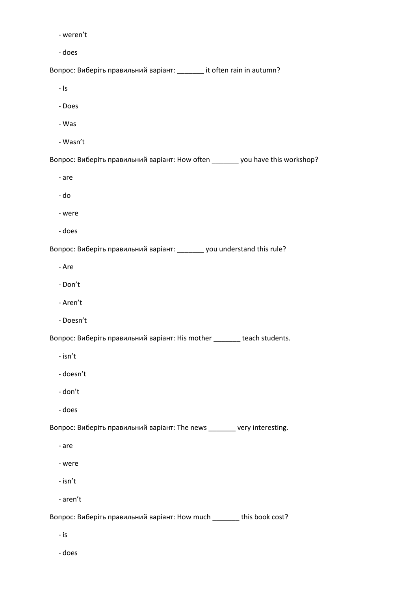- weren't

- does

Вопрос: Виберіть правильний варіант: \_\_\_\_\_\_\_ it often rain in autumn?

- Is

- Does

- Was
- Wasn't

Вопрос: Виберіть правильний варіант: How often \_\_\_\_\_\_\_ you have this workshop?

- are

- do
- were
- does

Вопрос: Виберіть правильний варіант: \_\_\_\_\_\_\_ you understand this rule?

- Are

- Don't
- Aren't
- Doesn't

Вопрос: Виберіть правильний варіант: His mother \_\_\_\_\_\_\_ teach students.

- isn't
- doesn't
- don't
- does

Вопрос: Виберіть правильний варіант: The news \_\_\_\_\_\_\_ very interesting.

- are
- were
- isn't
- aren't

Вопрос: Виберіть правильний варіант: How much \_\_\_\_\_\_\_ this book cost?

- is
- does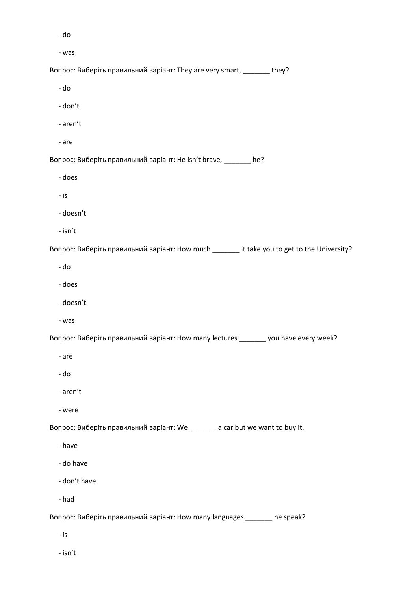- do

- was

Вопрос: Виберіть правильний варіант: They are very smart, \_\_\_\_\_\_\_ they?

- do

- don't

- aren't

- are

Вопрос: Виберіть правильний варіант: He isn't brave, \_\_\_\_\_\_\_ he?

- does

- is

- doesn't

- isn't

Вопрос: Виберіть правильний варіант: How much \_\_\_\_\_\_\_ it take you to get to the University?

- do

- does

- doesn't

- was

Вопрос: Виберіть правильний варіант: How many lectures \_\_\_\_\_\_\_ you have every week?

- are

- do

- aren't

- were

Вопрос: Виберіть правильний варіант: We \_\_\_\_\_\_\_ a car but we want to buy it.

- have

- do have

- don't have

- had

Вопрос: Виберіть правильний варіант: How many languages \_\_\_\_\_\_\_ he speak?

- is

- isn't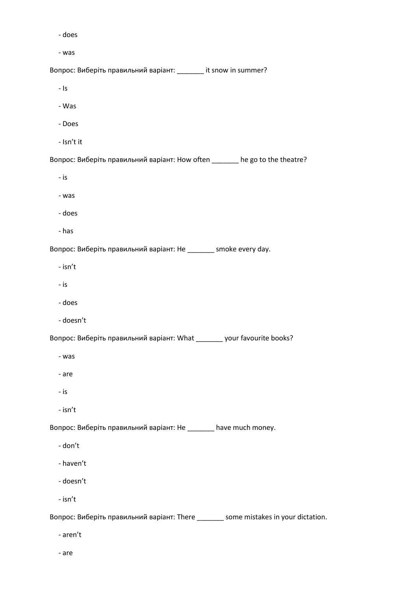- does

- was

Вопрос: Виберіть правильний варіант: \_\_\_\_\_\_\_ it snow in summer?

- Is

- Was

- Does

- Isn't it

Вопрос: Виберіть правильний варіант: How often \_\_\_\_\_\_\_ he go to the theatre?

- is

- was

- does

- has

Вопрос: Виберіть правильний варіант: He \_\_\_\_\_\_\_ smoke every day.

- isn't

- is

- does

- doesn't

Вопрос: Виберіть правильний варіант: What \_\_\_\_\_\_\_ your favourite books?

- was

- are

- is

- isn't

Вопрос: Виберіть правильний варіант: He \_\_\_\_\_\_\_ have much money.

- don't

- haven't

- doesn't

- isn't

Вопрос: Виберіть правильний варіант: There \_\_\_\_\_\_\_ some mistakes in your dictation.

- aren't

- are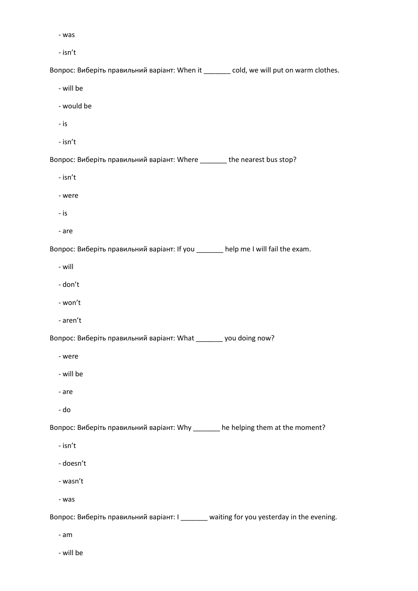- was

- isn't

Вопрос: Виберіть правильний варіант: When it \_\_\_\_\_\_\_ cold, we will put on warm clothes.

- will be

- would be

- is

- isn't

Вопрос: Виберіть правильний варіант: Where \_\_\_\_\_\_\_ the nearest bus stop?

- isn't

- were

- is

- are

Вопрос: Виберіть правильний варіант: If you \_\_\_\_\_\_\_ help me I will fail the exam.

- will

- don't

- won't

- aren't

Вопрос: Виберіть правильний варіант: What \_\_\_\_\_\_\_ you doing now?

- were

- will be

- are

- do

Вопрос: Виберіть правильний варіант: Why \_\_\_\_\_\_\_ he helping them at the moment?

- isn't

- doesn't

- wasn't

- was

Вопрос: Виберіть правильний варіант: I \_\_\_\_\_\_\_ waiting for you yesterday in the evening.

- am

- will be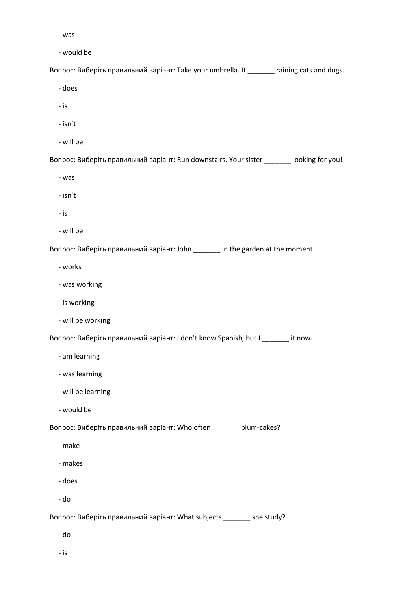- was

- would be

Вопрос: Виберіть правильний варіант: Take your umbrella. It \_\_\_\_\_\_\_ raining cats and dogs.

- does

- is

- isn't
- will be

Вопрос: Виберіть правильний варіант: Run downstairs. Your sister \_\_\_\_\_\_\_ looking for you!

- was

- isn't

- is

- will be

Вопрос: Виберіть правильний варіант: John \_\_\_\_\_\_\_ in the garden at the moment.

- works

- was working
- is working
- will be working

Вопрос: Виберіть правильний варіант: I don't know Spanish, but I \_\_\_\_\_\_\_ it now.

- am learning
- was learning
- will be learning
- would be

Вопрос: Виберіть правильний варіант: Who often \_\_\_\_\_\_\_ plum-cakes?

- make
- makes
- does
- do

Вопрос: Виберіть правильний варіант: What subjects \_\_\_\_\_\_\_ she study?

- do
- is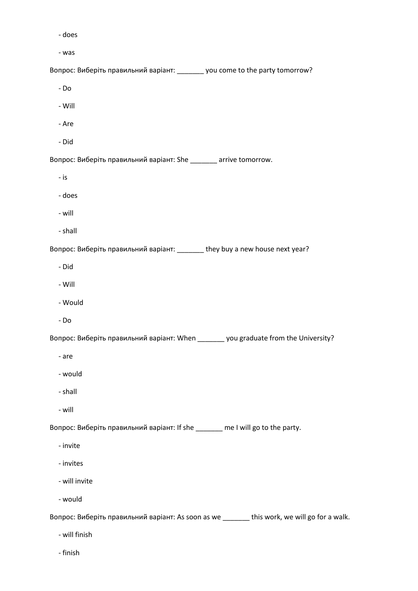- does

- was

Вопрос: Виберіть правильний варіант: \_\_\_\_\_\_\_ you come to the party tomorrow?

- Do

- Will

- Are
- Did

Вопрос: Виберіть правильний варіант: She \_\_\_\_\_\_\_ arrive tomorrow.

- is

- does
- will
- shall

Вопрос: Виберіть правильний варіант: \_\_\_\_\_\_\_ they buy a new house next year?

- Did
- Will
- Would
- Do

Вопрос: Виберіть правильний варіант: When \_\_\_\_\_\_\_ you graduate from the University?

- are
- would
- shall
- will

Вопрос: Виберіть правильний варіант: If she \_\_\_\_\_\_\_ me I will go to the party.

- invite
- invites
- will invite
- would

Вопрос: Виберіть правильний варіант: As soon as we \_\_\_\_\_\_\_ this work, we will go for a walk.

- will finish
- finish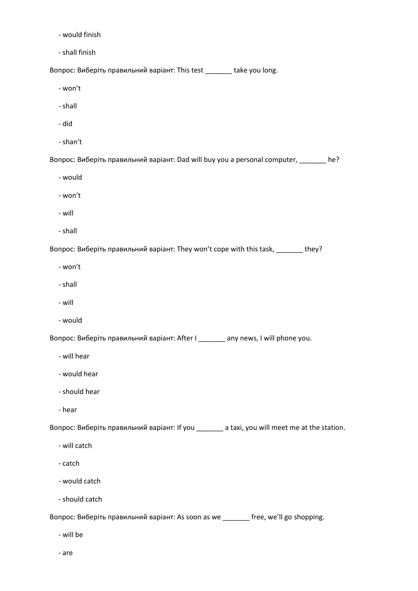- would finish
- shall finish

Вопрос: Виберіть правильний варіант: This test \_\_\_\_\_\_\_ take you long.

- won't
- shall
- did
- shan't

Вопрос: Виберіть правильний варіант: Dad will buy you a personal computer, \_\_\_\_\_\_\_ he?

- would
- won't
- will
- shall

Вопрос: Виберіть правильний варіант: They won't cope with this task, \_\_\_\_\_\_\_ they?

- won't
- shall
- will
- would

Вопрос: Виберіть правильний варіант: After I \_\_\_\_\_\_\_ any news, I will phone you.

- will hear
- would hear
- should hear
- hear

Вопрос: Виберіть правильний варіант: If you \_\_\_\_\_\_\_ a taxi, you will meet me at the station.

- will catch
- catch
- would catch
- should catch

Вопрос: Виберіть правильний варіант: As soon as we \_\_\_\_\_\_\_ free, we'll go shopping.

- will be
- are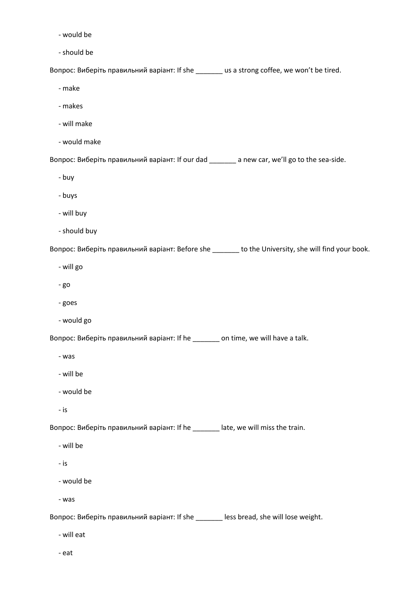- would be
- should be

Вопрос: Виберіть правильний варіант: If she \_\_\_\_\_\_\_ us a strong coffee, we won't be tired.

- make
- makes
- will make
- would make

Вопрос: Виберіть правильний варіант: If our dad \_\_\_\_\_\_\_ a new car, we'll go to the sea-side.

- buy
- buys
- will buy
- should buy

Вопрос: Виберіть правильний варіант: Before she \_\_\_\_\_\_\_ to the University, she will find your book.

- will go
- go
- goes
- would go

Вопрос: Виберіть правильний варіант: If he \_\_\_\_\_\_\_ on time, we will have a talk.

- was
- will be
- would be
- is

Вопрос: Виберіть правильний варіант: If he \_\_\_\_\_\_\_ late, we will miss the train.

- will be
- is
- would be
- was

Вопрос: Виберіть правильний варіант: If she \_\_\_\_\_\_\_ less bread, she will lose weight.

- will eat
- eat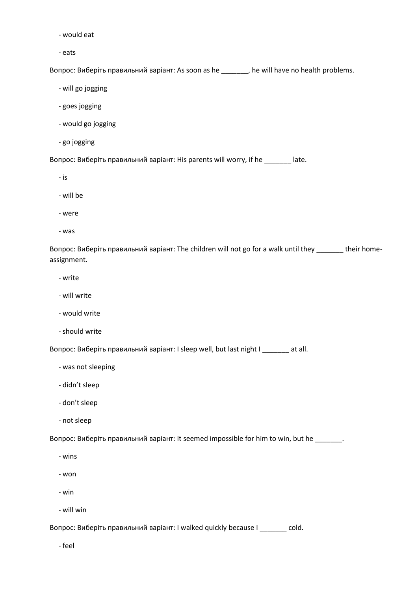- would eat
- eats

Вопрос: Виберіть правильний варіант: As soon as he \_\_\_\_\_\_\_, he will have no health problems.

- will go jogging
- goes jogging
- would go jogging
- go jogging

Вопрос: Виберіть правильний варіант: His parents will worry, if he \_\_\_\_\_\_\_ late.

- is

- will be
- were
- was

Вопрос: Виберіть правильний варіант: The children will not go for a walk until they \_\_\_\_\_\_\_ their homeassignment.

- write
- will write
- would write
- should write

Вопрос: Виберіть правильний варіант: I sleep well, but last night I \_\_\_\_\_\_\_ at all.

- was not sleeping
- didn't sleep
- don't sleep
- not sleep

Вопрос: Виберіть правильний варіант: It seemed impossible for him to win, but he \_\_\_\_\_\_\_.

- wins
- won
- win
- will win

Вопрос: Виберіть правильний варіант: I walked quickly because I \_\_\_\_\_\_\_ cold.

- feel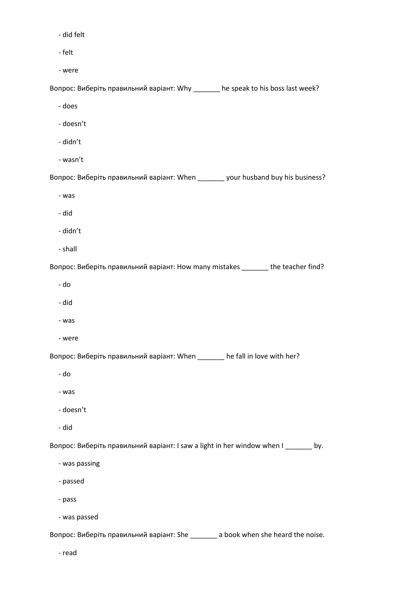- did felt
- felt
- were

Вопрос: Виберіть правильний варіант: Why \_\_\_\_\_\_\_ he speak to his boss last week?

- does
- doesn't
- didn't
- wasn't

Вопрос: Виберіть правильний варіант: When \_\_\_\_\_\_\_ your husband buy his business?

- was
- did
- didn't
- shall

Вопрос: Виберіть правильний варіант: How many mistakes \_\_\_\_\_\_\_ the teacher find?

- do
- did
- was
- were

Вопрос: Виберіть правильний варіант: When \_\_\_\_\_\_\_ he fall in love with her?

- do
- was
- doesn't
- did

Вопрос: Виберіть правильний варіант: I saw a light in her window when I \_\_\_\_\_\_\_ by.

- was passing
- passed
- pass
- was passed

Вопрос: Виберіть правильний варіант: She \_\_\_\_\_\_\_ a book when she heard the noise.

- read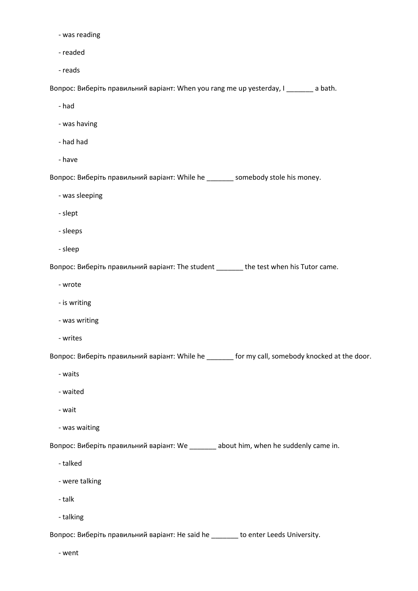- was reading
- readed
- reads

Вопрос: Виберіть правильний варіант: When you rang me up yesterday, I \_\_\_\_\_\_\_ a bath.

- had
- was having
- had had
- have

Вопрос: Виберіть правильний варіант: While he \_\_\_\_\_\_\_ somebody stole his money.

- was sleeping
- slept
- sleeps
- sleep

Вопрос: Виберіть правильний варіант: The student \_\_\_\_\_\_\_ the test when his Tutor came.

- wrote
- is writing
- was writing
- writes

Вопрос: Виберіть правильний варіант: While he \_\_\_\_\_\_\_ for my call, somebody knocked at the door.

- waits
- waited
- wait
- was waiting

Вопрос: Виберіть правильний варіант: We \_\_\_\_\_\_\_ about him, when he suddenly came in.

- talked
- were talking
- talk
- talking

Вопрос: Виберіть правильний варіант: He said he \_\_\_\_\_\_\_ to enter Leeds University.

- went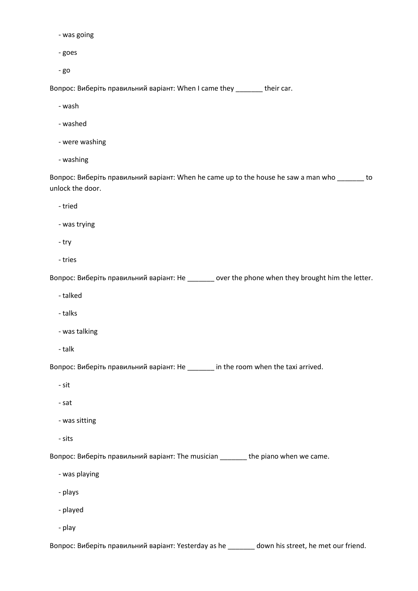- was going
- goes
- go

Вопрос: Виберіть правильний варіант: When I came they \_\_\_\_\_\_\_ their car.

- wash
- washed
- were washing
- washing

Вопрос: Виберіть правильний варіант: When he came up to the house he saw a man who \_\_\_\_\_\_\_ to unlock the door.

- tried
- was trying
- try
- tries

Вопрос: Виберіть правильний варіант: He \_\_\_\_\_\_\_ over the phone when they brought him the letter.

- talked
- talks
- was talking
- talk

Вопрос: Виберіть правильний варіант: He \_\_\_\_\_\_\_ in the room when the taxi arrived.

- sit
- sat
- was sitting
- sits

Вопрос: Виберіть правильний варіант: The musician \_\_\_\_\_\_\_ the piano when we came.

- was playing
- plays
- played
- play

Вопрос: Виберіть правильний варіант: Yesterday as he \_\_\_\_\_\_\_ down his street, he met our friend.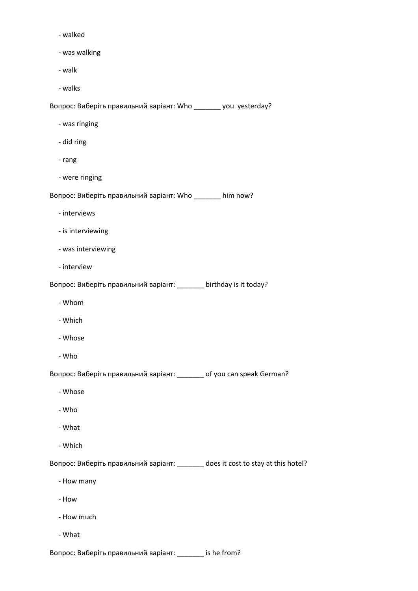- walked
- was walking
- walk
- walks

Вопрос: Виберіть правильний варіант: Who \_\_\_\_\_\_\_ you yesterday?

- was ringing
- did ring
- rang
- were ringing

Вопрос: Виберіть правильний варіант: Who \_\_\_\_\_\_\_ him now?

- interviews
- is interviewing
- was interviewing
- interview

Вопрос: Виберіть правильний варіант: \_\_\_\_\_\_\_ birthday is it today?

- Whom
- Which
- Whose
- Who

Вопрос: Виберіть правильний варіант: \_\_\_\_\_\_\_ of you can speak German?

- Whose
- Who
- What
- Which

Вопрос: Виберіть правильний варіант: \_\_\_\_\_\_\_ does it cost to stay at this hotel?

- How many
- How
- How much
- What

Вопрос: Виберіть правильний варіант: \_\_\_\_\_\_\_ is he from?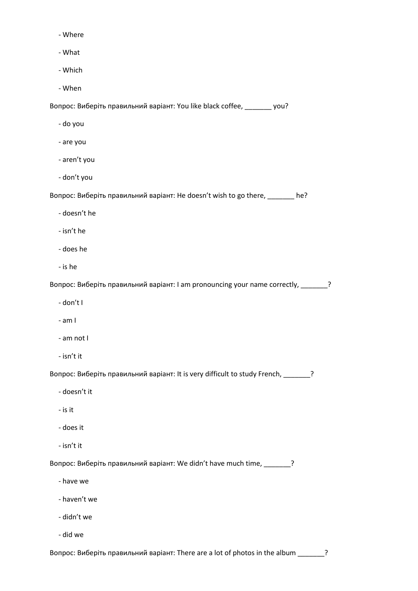- Where
- What
- Which
- When

Вопрос: Виберіть правильний варіант: You like black coffee, \_\_\_\_\_\_\_ you?

- do you
- are you
- aren't you
- don't you

Вопрос: Виберіть правильний варіант: He doesn't wish to go there, \_\_\_\_\_\_\_ he?

- doesn't he
- isn't he
- does he
- is he

Вопрос: Виберіть правильний варіант: I am pronouncing your name correctly, \_\_\_\_\_\_\_?

- don't I
- am I
- am not I
- isn't it

Вопрос: Виберіть правильний варіант: It is very difficult to study French, \_\_\_\_\_\_\_?

- doesn't it
- is it
- does it
- isn't it

Вопрос: Виберіть правильний варіант: We didn't have much time, \_\_\_\_\_\_\_?

- have we
- haven't we
- didn't we
- did we

Вопрос: Виберіть правильний варіант: There are a lot of photos in the album \_\_\_\_\_\_\_?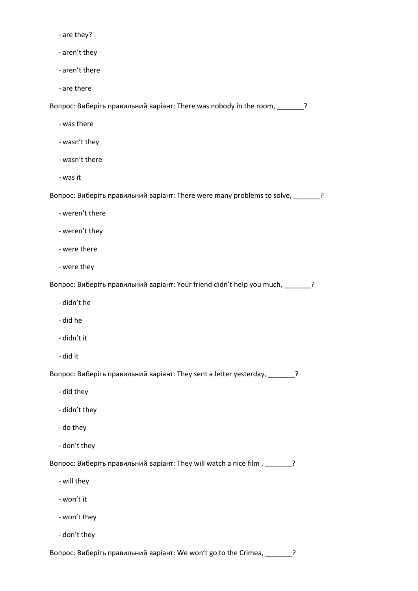- are they?
- aren't they
- aren't there
- are there

Вопрос: Виберіть правильний варіант: There was nobody in the room, \_\_\_\_\_\_\_?

- was there
- wasn't they
- wasn't there
- was it

Вопрос: Виберіть правильний варіант: There were many problems to solve, \_\_\_\_\_\_\_?

- weren't there
- weren't they
- were there
- were they

Вопрос: Виберіть правильний варіант: Your friend didn't help you much, \_\_\_\_\_\_\_?

- didn't he
- did he
- didn't it
- did it

Вопрос: Виберіть правильний варіант: They sent a letter yesterday, \_\_\_\_\_\_\_?

- did they
- didn't they
- do they
- don't they

Вопрос: Виберіть правильний варіант: They will watch a nice film , \_\_\_\_\_\_\_?

- will they
- won't it
- won't they
- don't they

Вопрос: Виберіть правильний варіант: We won't go to the Crimea, \_\_\_\_\_\_\_?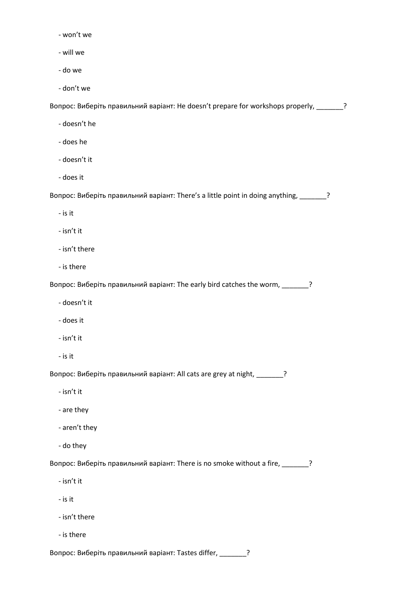- won't we
- will we
- do we
- don't we

Вопрос: Виберіть правильний варіант: He doesn't prepare for workshops properly, \_\_\_\_\_\_\_?

- doesn't he
- does he
- doesn't it
- does it

Вопрос: Виберіть правильний варіант: There's a little point in doing anything, \_\_\_\_\_\_\_?

- is it
- isn't it
- isn't there
- is there

Вопрос: Виберіть правильний варіант: The early bird catches the worm, \_\_\_\_\_\_\_?

- doesn't it
- does it
- isn't it
- is it

Вопрос: Виберіть правильний варіант: All cats are grey at night, \_\_\_\_\_\_\_?

- isn't it
- are they
- aren't they
- do they

Вопрос: Виберіть правильний варіант: There is no smoke without a fire, \_\_\_\_\_\_\_?

- isn't it
- is it
- isn't there
- is there

Вопрос: Виберіть правильний варіант: Tastes differ, \_\_\_\_\_\_\_?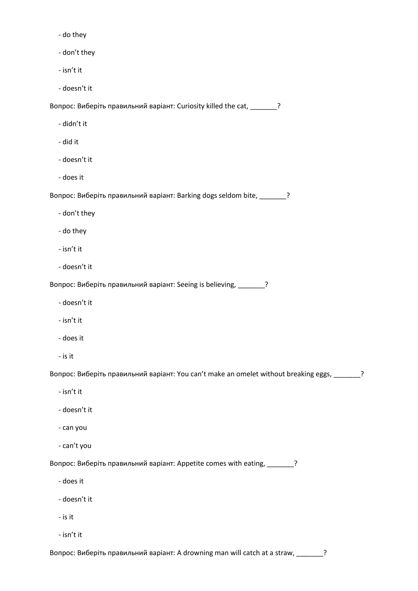- do they
- don't they
- isn't it
- doesn't it

Вопрос: Виберіть правильний варіант: Curiosity killed the cat, \_\_\_\_\_\_\_?

- didn't it
- did it
- doesn't it
- does it

Вопрос: Виберіть правильний варіант: Barking dogs seldom bite, \_\_\_\_\_\_\_?

- don't they
- do they
- isn't it
- doesn't it

Вопрос: Виберіть правильний варіант: Seeing is believing, \_\_\_\_\_\_\_?

- doesn't it
- isn't it
- does it
- is it

Вопрос: Виберіть правильний варіант: You can't make an omelet without breaking eggs, \_\_\_\_\_\_\_?

- isn't it
- doesn't it
- can you
- can't you

Вопрос: Виберіть правильний варіант: Appetite comes with eating, \_\_\_\_\_\_\_?

- does it
- doesn't it
- is it
- isn't it

Вопрос: Виберіть правильний варіант: A drowning man will catch at a straw, \_\_\_\_\_\_\_?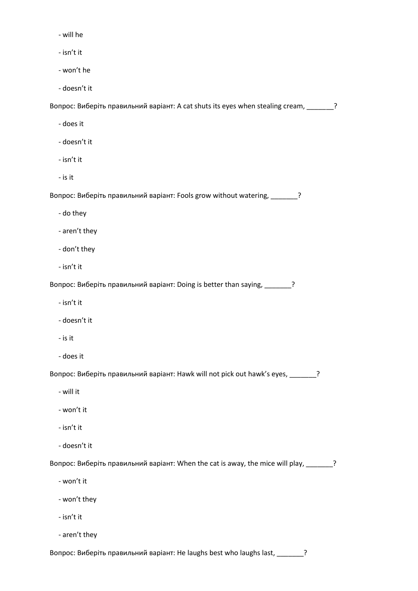- will he

- isn't it

- won't he

- doesn't it

Вопрос: Виберіть правильний варіант: A cat shuts its eyes when stealing cream, \_\_\_\_\_\_\_?

- does it
- doesn't it
- isn't it
- is it

Вопрос: Виберіть правильний варіант: Fools grow without watering, \_\_\_\_\_\_\_?

- do they
- aren't they
- don't they
- isn't it

Вопрос: Виберіть правильний варіант: Doing is better than saying, \_\_\_\_\_\_\_?

- isn't it
- doesn't it
- is it
- does it

Вопрос: Виберіть правильний варіант: Hawk will not pick out hawk's eyes, \_\_\_\_\_\_\_?

- will it
- won't it
- isn't it
- doesn't it

Вопрос: Виберіть правильний варіант: When the cat is away, the mice will play, \_\_\_\_\_\_\_?

- won't it
- won't they
- isn't it
- aren't they

Вопрос: Виберіть правильний варіант: He laughs best who laughs last, \_\_\_\_\_\_\_?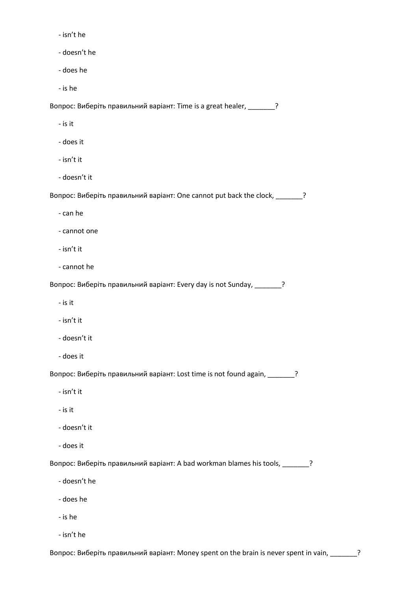- isn't he
- doesn't he
- does he
- is he

Вопрос: Виберіть правильний варіант: Time is a great healer, \_\_\_\_\_\_\_?

- is it
- does it
- isn't it
- doesn't it

Вопрос: Виберіть правильний варіант: One cannot put back the clock, \_\_\_\_\_\_\_?

- can he
- cannot one
- isn't it
- cannot he

Вопрос: Виберіть правильний варіант: Every day is not Sunday, \_\_\_\_\_\_\_?

- is it
- isn't it
- doesn't it
- does it

Вопрос: Виберіть правильний варіант: Lost time is not found again, \_\_\_\_\_\_\_?

- isn't it
- is it
- doesn't it
- does it

Вопрос: Виберіть правильний варіант: A bad workman blames his tools, \_\_\_\_\_\_\_?

- doesn't he
- does he
- is he
- isn't he

Вопрос: Виберіть правильний варіант: Money spent on the brain is never spent in vain, \_\_\_\_\_\_\_?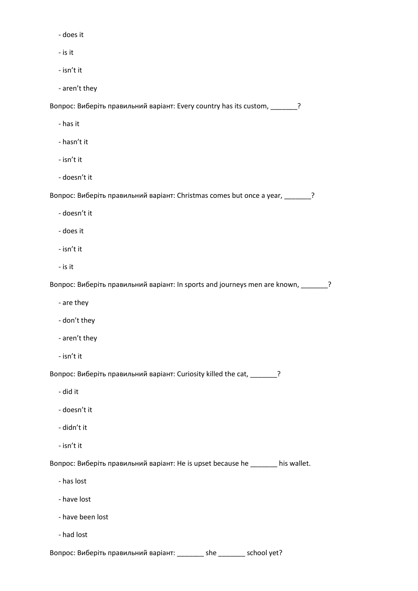- does it

- is it

- isn't it

- aren't they

Вопрос: Виберіть правильний варіант: Every country has its custom, \_\_\_\_\_\_\_?

- has it
- hasn't it
- isn't it
- doesn't it

Вопрос: Виберіть правильний варіант: Christmas comes but once a year, \_\_\_\_\_\_\_?

- doesn't it
- does it
- isn't it
- is it

Вопрос: Виберіть правильний варіант: In sports and journeys men are known, \_\_\_\_\_\_\_?

- are they
- don't they
- aren't they
- isn't it

Вопрос: Виберіть правильний варіант: Curiosity killed the cat, \_\_\_\_\_\_\_?

- did it
- doesn't it
- didn't it
- isn't it

Вопрос: Виберіть правильний варіант: He is upset because he \_\_\_\_\_\_\_ his wallet.

- has lost
- have lost
- have been lost
- had lost

Вопрос: Виберіть правильний варіант: \_\_\_\_\_\_\_ she \_\_\_\_\_\_\_ school yet?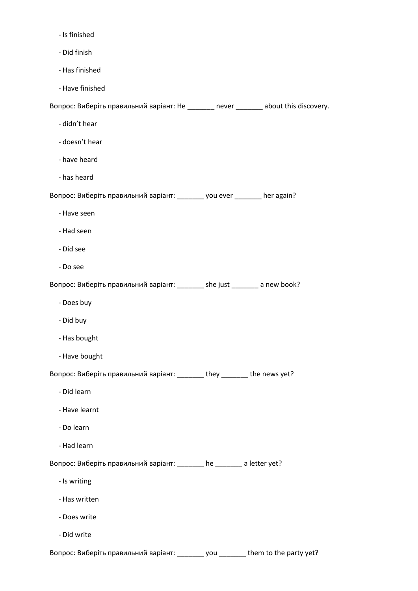- Is finished

- Did finish
- Has finished
- Have finished

Вопрос: Виберіть правильний варіант: He \_\_\_\_\_\_\_ never \_\_\_\_\_\_\_ about this discovery.

- didn't hear
- doesn't hear
- have heard
- has heard

Вопрос: Виберіть правильний варіант: \_\_\_\_\_\_\_ you ever \_\_\_\_\_\_\_ her again?

- Have seen
- Had seen
- Did see
- Do see

Вопрос: Виберіть правильний варіант: \_\_\_\_\_\_\_ she just \_\_\_\_\_\_\_ a new book?

- Does buy
- Did buy
- Has bought
- Have bought

Вопрос: Виберіть правильний варіант: \_\_\_\_\_\_\_ they \_\_\_\_\_\_\_ the news yet?

- Did learn
- Have learnt
- Do learn
- Had learn

Вопрос: Виберіть правильний варіант: \_\_\_\_\_\_\_ he \_\_\_\_\_\_\_ a letter yet?

- Is writing
- Has written
- Does write
- Did write

Вопрос: Виберіть правильний варіант: \_\_\_\_\_\_\_ you \_\_\_\_\_\_\_ them to the party yet?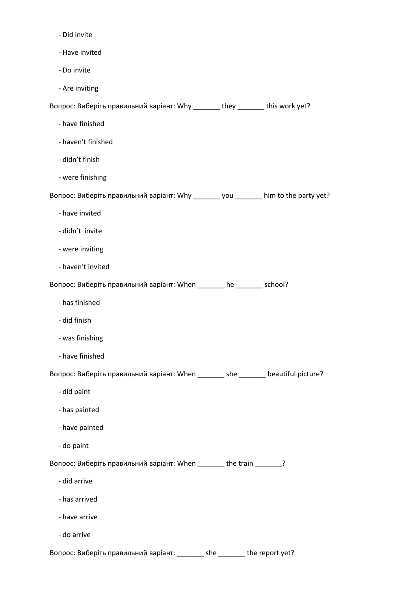- Did invite
- Have invited
- Do invite
- Are inviting

Вопрос: Виберіть правильний варіант: Why \_\_\_\_\_\_\_ they \_\_\_\_\_\_\_ this work yet?

- have finished
- haven't finished
- didn't finish
- were finishing

Вопрос: Виберіть правильний варіант: Why \_\_\_\_\_\_\_ you \_\_\_\_\_\_\_ him to the party yet?

- have invited
- didn't invite
- were inviting
- haven't invited

Вопрос: Виберіть правильний варіант: When \_\_\_\_\_\_\_ he \_\_\_\_\_\_\_ school?

- has finished
- did finish
- was finishing
- have finished

Вопрос: Виберіть правильний варіант: When \_\_\_\_\_\_\_ she \_\_\_\_\_\_\_ beautiful picture?

- did paint
- has painted
- have painted
- do paint

Вопрос: Виберіть правильний варіант: When \_\_\_\_\_\_\_ the train \_\_\_\_\_\_?

- did arrive
- has arrived
- have arrive
- do arrive

Вопрос: Виберіть правильний варіант: \_\_\_\_\_\_\_ she \_\_\_\_\_\_\_ the report yet?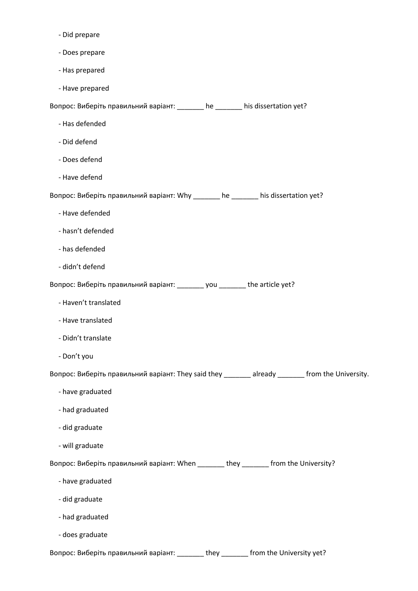- Did prepare
- Does prepare
- Has prepared
- Have prepared

Вопрос: Виберіть правильний варіант: \_\_\_\_\_\_\_ he \_\_\_\_\_\_\_ his dissertation yet?

- Has defended
- Did defend
- Does defend
- Have defend

Вопрос: Виберіть правильний варіант: Why \_\_\_\_\_\_\_ he \_\_\_\_\_\_\_ his dissertation yet?

- Have defended
- hasn't defended
- has defended
- didn't defend

Вопрос: Виберіть правильний варіант: \_\_\_\_\_\_\_ you \_\_\_\_\_\_\_ the article yet?

- Haven't translated
- Have translated
- Didn't translate
- Don't you

Вопрос: Виберіть правильний варіант: They said they \_\_\_\_\_\_\_ already \_\_\_\_\_\_\_ from the University.

- have graduated
- had graduated
- did graduate
- will graduate

Вопрос: Виберіть правильний варіант: When \_\_\_\_\_\_\_ they \_\_\_\_\_\_\_ from the University?

- have graduated
- did graduate
- had graduated
- does graduate

Вопрос: Виберіть правильний варіант: \_\_\_\_\_\_\_ they \_\_\_\_\_\_\_ from the University yet?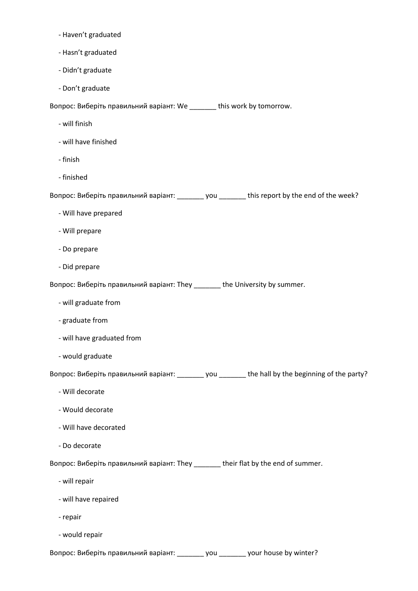- Haven't graduated
- Hasn't graduated
- Didn't graduate
- Don't graduate

Вопрос: Виберіть правильний варіант: We \_\_\_\_\_\_\_ this work by tomorrow.

- will finish
- will have finished
- finish
- finished

Вопрос: Виберіть правильний варіант: \_\_\_\_\_\_\_ you \_\_\_\_\_\_\_ this report by the end of the week?

- Will have prepared
- Will prepare
- Do prepare
- Did prepare

Вопрос: Виберіть правильний варіант: They \_\_\_\_\_\_\_ the University by summer.

- will graduate from
- graduate from
- will have graduated from
- would graduate

Вопрос: Виберіть правильний варіант: \_\_\_\_\_\_\_ you \_\_\_\_\_\_\_ the hall by the beginning of the party?

- Will decorate
- Would decorate
- Will have decorated
- Do decorate

Вопрос: Виберіть правильний варіант: They \_\_\_\_\_\_\_ their flat by the end of summer.

- will repair
- will have repaired
- repair
- would repair

Вопрос: Виберіть правильний варіант: \_\_\_\_\_\_\_ you \_\_\_\_\_\_\_ your house by winter?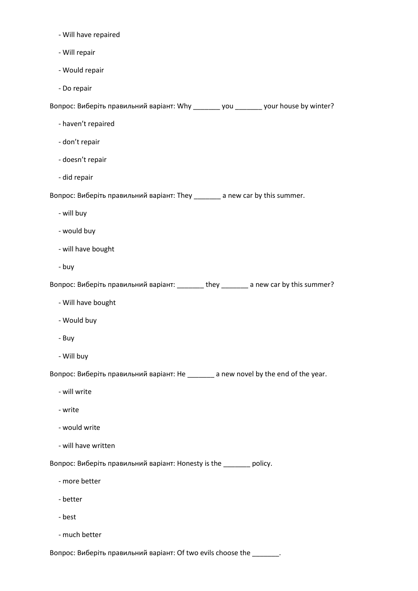- Will have repaired
- Will repair
- Would repair
- Do repair

Вопрос: Виберіть правильний варіант: Why \_\_\_\_\_\_\_ you \_\_\_\_\_\_\_ your house by winter?

- haven't repaired
- don't repair
- doesn't repair
- did repair

Вопрос: Виберіть правильний варіант: They \_\_\_\_\_\_\_ a new car by this summer.

- will buy
- would buy
- will have bought
- buy

Вопрос: Виберіть правильний варіант: \_\_\_\_\_\_\_ they \_\_\_\_\_\_\_ a new car by this summer?

- Will have bought
- Would buy
- Buy
- Will buy

Вопрос: Виберіть правильний варіант: He \_\_\_\_\_\_\_ a new novel by the end of the year.

- will write
- write
- would write
- will have written

Вопрос: Виберіть правильний варіант: Honesty is the \_\_\_\_\_\_\_ policy.

- more better
- better
- best
- much better

Вопрос: Виберіть правильний варіант: Of two evils choose the \_\_\_\_\_\_\_.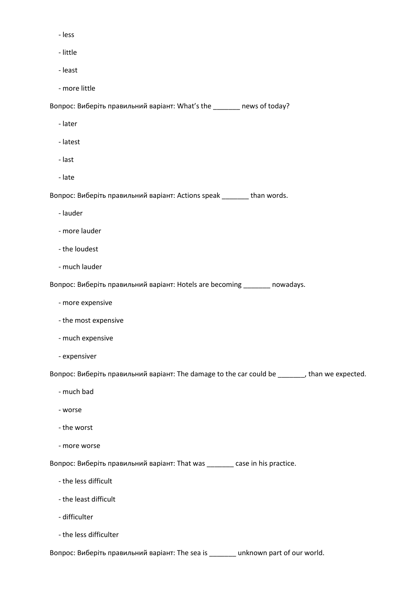- less
- little
- least
- more little

Вопрос: Виберіть правильний варіант: What's the \_\_\_\_\_\_\_ news of today?

- later
- latest
- last
- late

Вопрос: Виберіть правильний варіант: Actions speak \_\_\_\_\_\_\_ than words.

- lauder
- more lauder
- the loudest
- much lauder

Вопрос: Виберіть правильний варіант: Hotels are becoming \_\_\_\_\_\_\_ nowadays.

- more expensive
- the most expensive
- much expensive
- expensiver

Вопрос: Виберіть правильний варіант: The damage to the car could be \_\_\_\_\_\_\_, than we expected.

- much bad
- worse
- the worst
- more worse

Вопрос: Виберіть правильний варіант: That was \_\_\_\_\_\_\_ case in his practice.

- the less difficult
- the least difficult
- difficulter
- the less difficulter

Вопрос: Виберіть правильний варіант: The sea is \_\_\_\_\_\_\_ unknown part of our world.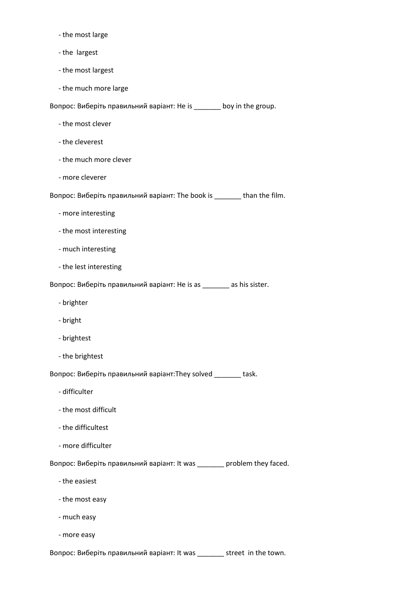- the most large
- the largest
- the most largest
- the much more large

Вопрос: Виберіть правильний варіант: He is  $\frac{1}{\sqrt{2}}$  boy in the group.

- the most clever
- the cleverest
- the much more clever
- more cleverer

Вопрос: Виберіть правильний варіант: The book is \_\_\_\_\_\_\_ than the film.

- more interesting
- the most interesting
- much interesting
- the lest interesting

Вопрос: Виберіть правильний варіант: He is as \_\_\_\_\_\_\_ as his sister.

- brighter
- bright
- brightest
- the brightest

Вопрос: Виберіть правильний варіант:They solved \_\_\_\_\_\_\_ task.

- difficulter
- the most difficult
- the difficultest
- more difficulter

Вопрос: Виберіть правильний варіант: It was \_\_\_\_\_\_\_ problem they faced.

- the easiest
- the most easy
- much easy
- more easy

Вопрос: Виберіть правильний варіант: It was \_\_\_\_\_\_\_ street in the town.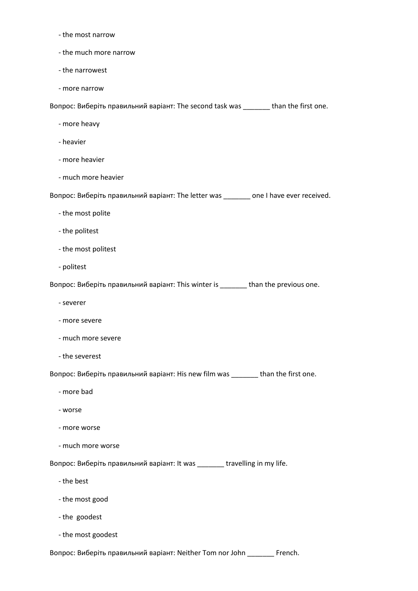- the most narrow
- the much more narrow
- the narrowest
- more narrow

Вопрос: Виберіть правильний варіант: The second task was \_\_\_\_\_\_\_ than the first one.

- more heavy
- heavier
- more heavier
- much more heavier

Вопрос: Виберіть правильний варіант: The letter was \_\_\_\_\_\_\_ one I have ever received.

- the most polite
- the politest
- the most politest
- politest

Вопрос: Виберіть правильний варіант: This winter is \_\_\_\_\_\_\_ than the previous one.

- severer
- more severe
- much more severe
- the severest

Вопрос: Виберіть правильний варіант: His new film was \_\_\_\_\_\_\_ than the first one.

- more bad
- worse
- more worse
- much more worse

Вопрос: Виберіть правильний варіант: It was \_\_\_\_\_\_\_ travelling in my life.

- the best
- the most good
- the goodest
- the most goodest

Вопрос: Виберіть правильний варіант: Neither Tom nor John \_\_\_\_\_\_\_ French.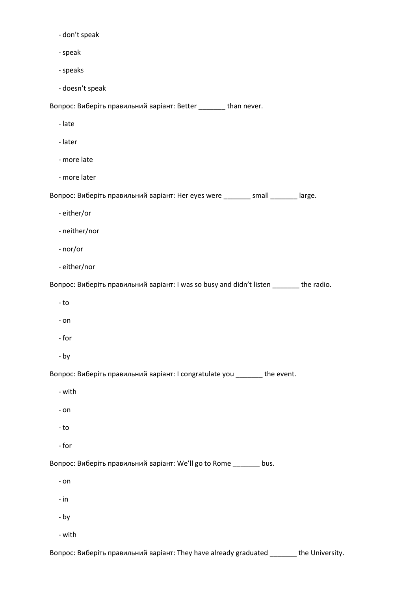- don't speak

- speak
- speaks

- doesn't speak

Вопрос: Виберіть правильний варіант: Better \_\_\_\_\_\_\_ than never.

- late
- later
- more late
- more later

Вопрос: Виберіть правильний варіант: Her eyes were \_\_\_\_\_\_\_ small \_\_\_\_\_\_\_ large.

- either/or
- neither/nor
- nor/or
- either/nor

Вопрос: Виберіть правильний варіант: I was so busy and didn't listen \_\_\_\_\_\_\_ the radio.

- to
- on
- for
- by

Вопрос: Виберіть правильний варіант: I congratulate you \_\_\_\_\_\_\_ the event.

- with
- on
- to
- for

Вопрос: Виберіть правильний варіант: We'll go to Rome \_\_\_\_\_\_\_ bus.

- on
- in
- by
- with

Вопрос: Виберіть правильний варіант: They have already graduated \_\_\_\_\_\_\_ the University.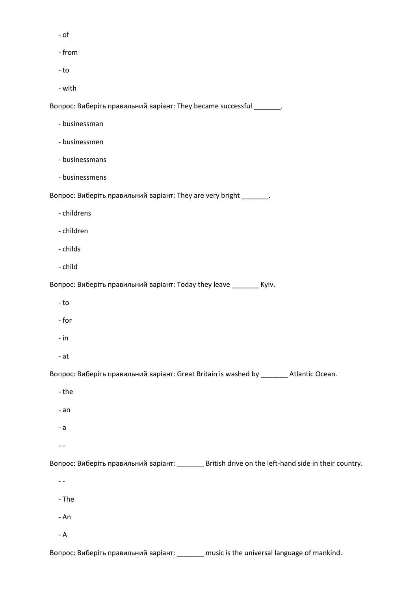- of
- from
- to
- with

Вопрос: Виберіть правильний варіант: They became successful \_\_\_\_\_\_\_.

- businessman
- businessmen
- businessmans
- businessmens

Вопрос: Виберіть правильний варіант: They are very bright \_\_\_\_\_\_\_.

- childrens
- children
- childs
- child

Вопрос: Виберіть правильний варіант: Today they leave \_\_\_\_\_\_\_ Kyiv.

- to
- for
- in
- at

Вопрос: Виберіть правильний варіант: Great Britain is washed by \_\_\_\_\_\_\_ Atlantic Ocean.

- the
- an
- a
- -

Вопрос: Виберіть правильний варіант: \_\_\_\_\_\_\_ British drive on the left-hand side in their country.

- $-$  -
- The
- An
- A

Вопрос: Виберіть правильний варіант: \_\_\_\_\_\_\_ music is the universal language of mankind.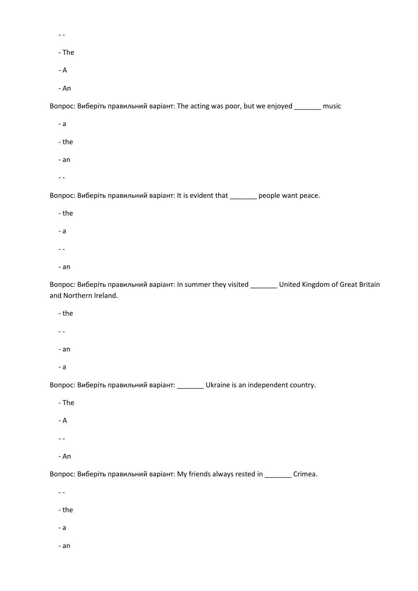| - The                                                                                                                        |
|------------------------------------------------------------------------------------------------------------------------------|
| - ${\sf A}$                                                                                                                  |
| - An                                                                                                                         |
| Вопрос: Виберіть правильний варіант: The acting was poor, but we enjoyed _______ music                                       |
| $- a$                                                                                                                        |
| - the                                                                                                                        |
| - an                                                                                                                         |
| $- -$                                                                                                                        |
| Вопрос: Виберіть правильний варіант: It is evident that _______ people want peace.                                           |
| - the                                                                                                                        |
| $- a$                                                                                                                        |
|                                                                                                                              |
| - an                                                                                                                         |
| Вопрос: Виберіть правильний варіант: In summer they visited _______ United Kingdom of Great Britain<br>and Northern Ireland. |
| - the                                                                                                                        |
|                                                                                                                              |
| - an                                                                                                                         |

- a

Вопрос: Виберіть правильний варіант: \_\_\_\_\_\_\_ Ukraine is an independent country.

- The
- A
- -
- An

Вопрос: Виберіть правильний варіант: My friends always rested in \_\_\_\_\_\_\_ Crimea.

- -
- the
- a
- an